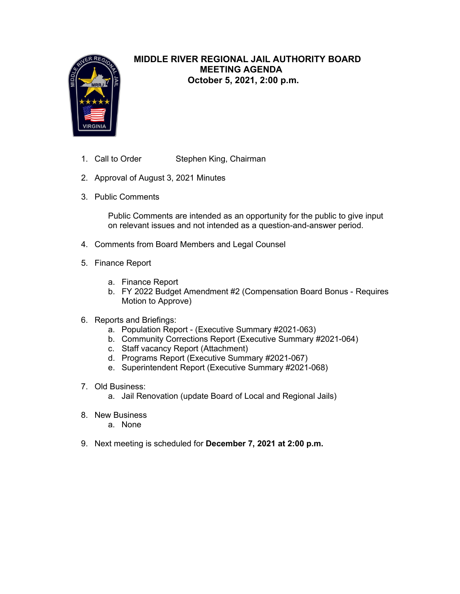

### **MIDDLE RIVER REGIONAL JAIL AUTHORITY BOARD MEETING AGENDA October 5, 2021, 2:00 p.m.**

- 1. Call to Order Stephen King, Chairman
- 2. Approval of August 3, 2021 Minutes
- 3. Public Comments

Public Comments are intended as an opportunity for the public to give input on relevant issues and not intended as a question-and-answer period.

- 4. Comments from Board Members and Legal Counsel
- 5. Finance Report
	- a. Finance Report
	- b. FY 2022 Budget Amendment #2 (Compensation Board Bonus Requires Motion to Approve)
- 6. Reports and Briefings:
	- a. Population Report (Executive Summary #2021-063)
	- b. Community Corrections Report (Executive Summary #2021-064)
	- c. Staff vacancy Report (Attachment)
	- d. Programs Report (Executive Summary #2021-067)
	- e. Superintendent Report (Executive Summary #2021-068)
- 7. Old Business:
	- a. Jail Renovation (update Board of Local and Regional Jails)
- 8. New Business
	- a. None
- 9. Next meeting is scheduled for **December 7, 2021 at 2:00 p.m.**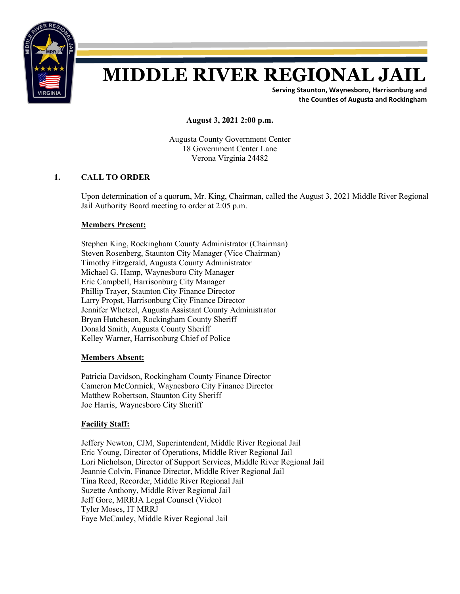

# **MIDDLE RIVER REGIONAL JAIL**

**Serving Staunton, Waynesboro, Harrisonburg and the Counties of Augusta and Rockingham**

**August 3, 2021 2:00 p.m.**

Augusta County Government Center 18 Government Center Lane Verona Virginia 24482

### **1. CALL TO ORDER**

Upon determination of a quorum, Mr. King, Chairman, called the August 3, 2021 Middle River Regional Jail Authority Board meeting to order at 2:05 p.m.

### **Members Present:**

Stephen King, Rockingham County Administrator (Chairman) Steven Rosenberg, Staunton City Manager (Vice Chairman) Timothy Fitzgerald, Augusta County Administrator Michael G. Hamp, Waynesboro City Manager Eric Campbell, Harrisonburg City Manager Phillip Trayer, Staunton City Finance Director Larry Propst, Harrisonburg City Finance Director Jennifer Whetzel, Augusta Assistant County Administrator Bryan Hutcheson, Rockingham County Sheriff Donald Smith, Augusta County Sheriff Kelley Warner, Harrisonburg Chief of Police

### **Members Absent:**

Patricia Davidson, Rockingham County Finance Director Cameron McCormick, Waynesboro City Finance Director Matthew Robertson, Staunton City Sheriff Joe Harris, Waynesboro City Sheriff

### **Facility Staff:**

Jeffery Newton, CJM, Superintendent, Middle River Regional Jail Eric Young, Director of Operations, Middle River Regional Jail Lori Nicholson, Director of Support Services, Middle River Regional Jail Jeannie Colvin, Finance Director, Middle River Regional Jail Tina Reed, Recorder, Middle River Regional Jail Suzette Anthony, Middle River Regional Jail Jeff Gore, MRRJA Legal Counsel (Video) Tyler Moses, IT MRRJ Faye McCauley, Middle River Regional Jail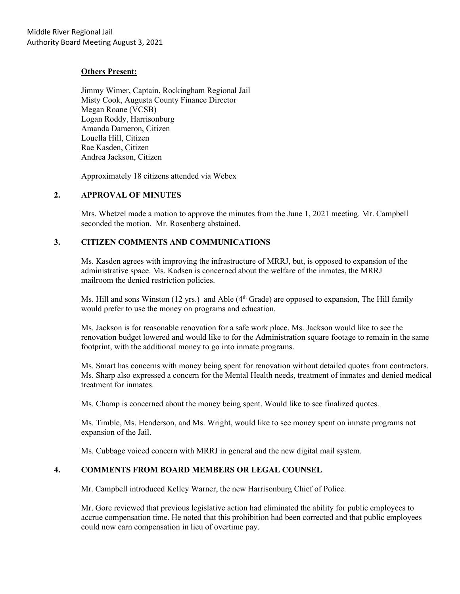### **Others Present:**

Jimmy Wimer, Captain, Rockingham Regional Jail Misty Cook, Augusta County Finance Director Megan Roane (VCSB) Logan Roddy, Harrisonburg Amanda Dameron, Citizen Louella Hill, Citizen Rae Kasden, Citizen Andrea Jackson, Citizen

Approximately 18 citizens attended via Webex

### **2. APPROVAL OF MINUTES**

Mrs. Whetzel made a motion to approve the minutes from the June 1, 2021 meeting. Mr. Campbell seconded the motion. Mr. Rosenberg abstained.

### **3. CITIZEN COMMENTS AND COMMUNICATIONS**

Ms. Kasden agrees with improving the infrastructure of MRRJ, but, is opposed to expansion of the administrative space. Ms. Kadsen is concerned about the welfare of the inmates, the MRRJ mailroom the denied restriction policies.

Ms. Hill and sons Winston (12 yrs.) and Able ( $4<sup>th</sup>$  Grade) are opposed to expansion, The Hill family would prefer to use the money on programs and education.

Ms. Jackson is for reasonable renovation for a safe work place. Ms. Jackson would like to see the renovation budget lowered and would like to for the Administration square footage to remain in the same footprint, with the additional money to go into inmate programs.

Ms. Smart has concerns with money being spent for renovation without detailed quotes from contractors. Ms. Sharp also expressed a concern for the Mental Health needs, treatment of inmates and denied medical treatment for inmates.

Ms. Champ is concerned about the money being spent. Would like to see finalized quotes.

Ms. Timble, Ms. Henderson, and Ms. Wright, would like to see money spent on inmate programs not expansion of the Jail.

Ms. Cubbage voiced concern with MRRJ in general and the new digital mail system.

### **4. COMMENTS FROM BOARD MEMBERS OR LEGAL COUNSEL**

Mr. Campbell introduced Kelley Warner, the new Harrisonburg Chief of Police.

Mr. Gore reviewed that previous legislative action had eliminated the ability for public employees to accrue compensation time. He noted that this prohibition had been corrected and that public employees could now earn compensation in lieu of overtime pay.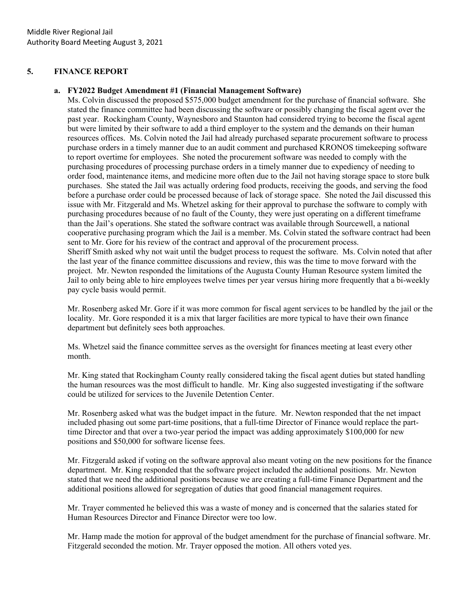### **5. FINANCE REPORT**

### **a. FY2022 Budget Amendment #1 (Financial Management Software)**

Ms. Colvin discussed the proposed \$575,000 budget amendment for the purchase of financial software. She stated the finance committee had been discussing the software or possibly changing the fiscal agent over the past year. Rockingham County, Waynesboro and Staunton had considered trying to become the fiscal agent but were limited by their software to add a third employer to the system and the demands on their human resources offices. Ms. Colvin noted the Jail had already purchased separate procurement software to process purchase orders in a timely manner due to an audit comment and purchased KRONOS timekeeping software to report overtime for employees. She noted the procurement software was needed to comply with the purchasing procedures of processing purchase orders in a timely manner due to expediency of needing to order food, maintenance items, and medicine more often due to the Jail not having storage space to store bulk purchases. She stated the Jail was actually ordering food products, receiving the goods, and serving the food before a purchase order could be processed because of lack of storage space. She noted the Jail discussed this issue with Mr. Fitzgerald and Ms. Whetzel asking for their approval to purchase the software to comply with purchasing procedures because of no fault of the County, they were just operating on a different timeframe than the Jail's operations. She stated the software contract was available through Sourcewell, a national cooperative purchasing program which the Jail is a member. Ms. Colvin stated the software contract had been sent to Mr. Gore for his review of the contract and approval of the procurement process. Sheriff Smith asked why not wait until the budget process to request the software. Ms. Colvin noted that after the last year of the finance committee discussions and review, this was the time to move forward with the project. Mr. Newton responded the limitations of the Augusta County Human Resource system limited the Jail to only being able to hire employees twelve times per year versus hiring more frequently that a bi-weekly pay cycle basis would permit.

Mr. Rosenberg asked Mr. Gore if it was more common for fiscal agent services to be handled by the jail or the locality. Mr. Gore responded it is a mix that larger facilities are more typical to have their own finance department but definitely sees both approaches.

Ms. Whetzel said the finance committee serves as the oversight for finances meeting at least every other month.

Mr. King stated that Rockingham County really considered taking the fiscal agent duties but stated handling the human resources was the most difficult to handle. Mr. King also suggested investigating if the software could be utilized for services to the Juvenile Detention Center.

Mr. Rosenberg asked what was the budget impact in the future. Mr. Newton responded that the net impact included phasing out some part-time positions, that a full-time Director of Finance would replace the parttime Director and that over a two-year period the impact was adding approximately \$100,000 for new positions and \$50,000 for software license fees.

Mr. Fitzgerald asked if voting on the software approval also meant voting on the new positions for the finance department. Mr. King responded that the software project included the additional positions. Mr. Newton stated that we need the additional positions because we are creating a full-time Finance Department and the additional positions allowed for segregation of duties that good financial management requires.

Mr. Trayer commented he believed this was a waste of money and is concerned that the salaries stated for Human Resources Director and Finance Director were too low.

Mr. Hamp made the motion for approval of the budget amendment for the purchase of financial software. Mr. Fitzgerald seconded the motion. Mr. Trayer opposed the motion. All others voted yes.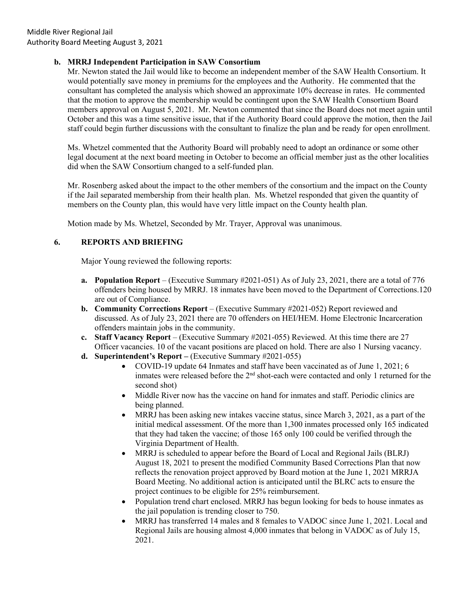Middle River Regional Jail Authority Board Meeting August 3, 2021

### **b. MRRJ Independent Participation in SAW Consortium**

Mr. Newton stated the Jail would like to become an independent member of the SAW Health Consortium. It would potentially save money in premiums for the employees and the Authority. He commented that the consultant has completed the analysis which showed an approximate 10% decrease in rates. He commented that the motion to approve the membership would be contingent upon the SAW Health Consortium Board members approval on August 5, 2021. Mr. Newton commented that since the Board does not meet again until October and this was a time sensitive issue, that if the Authority Board could approve the motion, then the Jail staff could begin further discussions with the consultant to finalize the plan and be ready for open enrollment.

Ms. Whetzel commented that the Authority Board will probably need to adopt an ordinance or some other legal document at the next board meeting in October to become an official member just as the other localities did when the SAW Consortium changed to a self-funded plan.

Mr. Rosenberg asked about the impact to the other members of the consortium and the impact on the County if the Jail separated membership from their health plan. Ms. Whetzel responded that given the quantity of members on the County plan, this would have very little impact on the County health plan.

Motion made by Ms. Whetzel, Seconded by Mr. Trayer, Approval was unanimous.

### **6. REPORTS AND BRIEFING**

Major Young reviewed the following reports:

- **a. Population Report**  (Executive Summary #2021-051) As of July 23, 2021, there are a total of 776 offenders being housed by MRRJ. 18 inmates have been moved to the Department of Corrections.120 are out of Compliance.
- **b. Community Corrections Report**  (Executive Summary #2021-052) Report reviewed and discussed. As of July 23, 2021 there are 70 offenders on HEI/HEM. Home Electronic Incarceration offenders maintain jobs in the community.
- **c. Staff Vacancy Report**  (Executive Summary #2021-055) Reviewed. At this time there are 27 Officer vacancies. 10 of the vacant positions are placed on hold. There are also 1 Nursing vacancy.
- **d. Superintendent's Report –** (Executive Summary #2021-055)
	- COVID-19 update 64 Inmates and staff have been vaccinated as of June 1, 2021; 6 inmates were released before the  $2<sup>nd</sup>$  shot-each were contacted and only 1 returned for the second shot)
	- Middle River now has the vaccine on hand for inmates and staff. Periodic clinics are being planned.
	- MRRJ has been asking new intakes vaccine status, since March 3, 2021, as a part of the initial medical assessment. Of the more than 1,300 inmates processed only 165 indicated that they had taken the vaccine; of those 165 only 100 could be verified through the Virginia Department of Health.
	- MRRJ is scheduled to appear before the Board of Local and Regional Jails (BLRJ) August 18, 2021 to present the modified Community Based Corrections Plan that now reflects the renovation project approved by Board motion at the June 1, 2021 MRRJA Board Meeting. No additional action is anticipated until the BLRC acts to ensure the project continues to be eligible for 25% reimbursement.
	- Population trend chart enclosed. MRRJ has begun looking for beds to house inmates as the jail population is trending closer to 750.
	- MRRJ has transferred 14 males and 8 females to VADOC since June 1, 2021. Local and Regional Jails are housing almost 4,000 inmates that belong in VADOC as of July 15, 2021.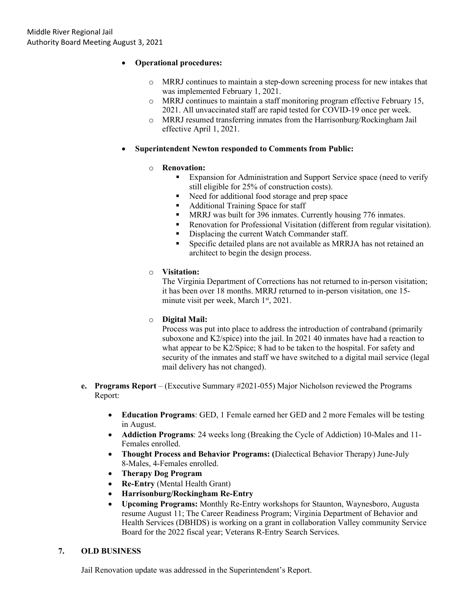### • **Operational procedures:**

- o MRRJ continues to maintain a step-down screening process for new intakes that was implemented February 1, 2021.
- o MRRJ continues to maintain a staff monitoring program effective February 15, 2021. All unvaccinated staff are rapid tested for COVID-19 once per week.
- o MRRJ resumed transferring inmates from the Harrisonburg/Rockingham Jail effective April 1, 2021.
- **Superintendent Newton responded to Comments from Public:**

# o **Renovation:**

- Expansion for Administration and Support Service space (need to verify still eligible for 25% of construction costs).
- Need for additional food storage and prep space
- Additional Training Space for staff
- **MRRJ** was built for 396 inmates. Currently housing 776 inmates.
- Renovation for Professional Visitation (different from regular visitation).
- Displacing the current Watch Commander staff.
- Specific detailed plans are not available as MRRJA has not retained an architect to begin the design process.

### o **Visitation:**

The Virginia Department of Corrections has not returned to in-person visitation; it has been over 18 months. MRRJ returned to in-person visitation, one 15 minute visit per week, March 1<sup>st</sup>, 2021.

### o **Digital Mail:**

Process was put into place to address the introduction of contraband (primarily suboxone and K2/spice) into the jail. In 2021 40 inmates have had a reaction to what appear to be K2/Spice; 8 had to be taken to the hospital. For safety and security of the inmates and staff we have switched to a digital mail service (legal mail delivery has not changed).

- **e. Programs Report**  (Executive Summary #2021-055) Major Nicholson reviewed the Programs Report:
	- **Education Programs**: GED, 1 Female earned her GED and 2 more Females will be testing in August.
	- **Addiction Programs**: 24 weeks long (Breaking the Cycle of Addiction) 10-Males and 11- Females enrolled.
	- **Thought Process and Behavior Programs: (**Dialectical Behavior Therapy) June-July 8-Males, 4-Females enrolled.
	- **Therapy Dog Program**
	- **Re-Entry** (Mental Health Grant)
	- **Harrisonburg/Rockingham Re-Entry**
	- **Upcoming Programs:** Monthly Re-Entry workshops for Staunton, Waynesboro, Augusta resume August 11; The Career Readiness Program; Virginia Department of Behavior and Health Services (DBHDS) is working on a grant in collaboration Valley community Service Board for the 2022 fiscal year; Veterans R-Entry Search Services.

### **7. OLD BUSINESS**

Jail Renovation update was addressed in the Superintendent's Report.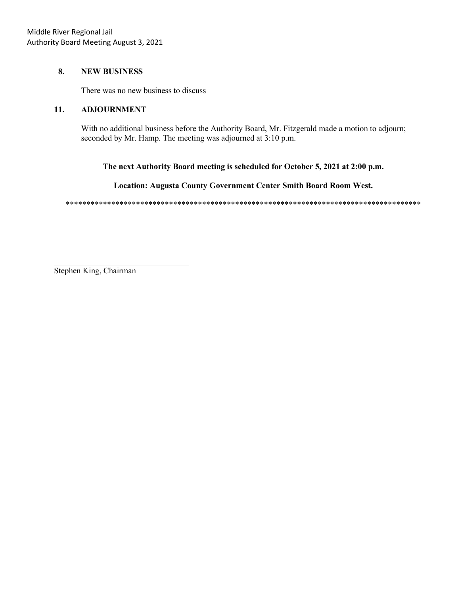### **8. NEW BUSINESS**

There was no new business to discuss

### **11. ADJOURNMENT**

With no additional business before the Authority Board, Mr. Fitzgerald made a motion to adjourn; seconded by Mr. Hamp. The meeting was adjourned at 3:10 p.m.

**The next Authority Board meeting is scheduled for October 5, 2021 at 2:00 p.m.**

**Location: Augusta County Government Center Smith Board Room West.**

\*\*\*\*\*\*\*\*\*\*\*\*\*\*\*\*\*\*\*\*\*\*\*\*\*\*\*\*\*\*\*\*\*\*\*\*\*\*\*\*\*\*\*\*\*\*\*\*\*\*\*\*\*\*\*\*\*\*\*\*\*\*\*\*\*\*\*\*\*\*\*\*\*\*\*\*\*\*\*\*\*\*\*\*\*\*

Stephen King, Chairman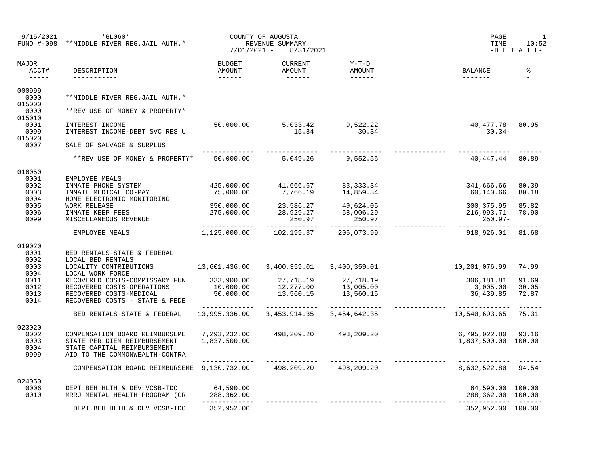| 9/15/2021                       | $*GLO60*$<br>FUND #-098 **MIDDLE RIVER REG.JAIL AUTH.*      |                                     | COUNTY OF AUGUSTA<br>REVENUE SUMMARY<br>$7/01/2021 - 8/31/2021$ |                                     | PAGE<br>TIME                                                                                                                                                                                                                                                                                                                                                                                                                                                                                      | 1<br>10:52<br>$-D$ E T A I L- |
|---------------------------------|-------------------------------------------------------------|-------------------------------------|-----------------------------------------------------------------|-------------------------------------|---------------------------------------------------------------------------------------------------------------------------------------------------------------------------------------------------------------------------------------------------------------------------------------------------------------------------------------------------------------------------------------------------------------------------------------------------------------------------------------------------|-------------------------------|
| MAJOR<br>ACCT#<br>$\frac{1}{2}$ | DESCRIPTION<br>___________                                  | <b>BUDGET</b><br>AMOUNT<br>________ | CURRENT<br><b>AMOUNT</b><br>_______                             | $Y-T-D$<br>AMOUNT                   | BALANCE<br>$\begin{array}{cccccccccc} \multicolumn{2}{c}{} & \multicolumn{2}{c}{} & \multicolumn{2}{c}{} & \multicolumn{2}{c}{} & \multicolumn{2}{c}{} & \multicolumn{2}{c}{} & \multicolumn{2}{c}{} & \multicolumn{2}{c}{} & \multicolumn{2}{c}{} & \multicolumn{2}{c}{} & \multicolumn{2}{c}{} & \multicolumn{2}{c}{} & \multicolumn{2}{c}{} & \multicolumn{2}{c}{} & \multicolumn{2}{c}{} & \multicolumn{2}{c}{} & \multicolumn{2}{c}{} & \multicolumn{2}{c}{} & \multicolumn{2}{c}{} & \mult$ | ႜ                             |
| 000999<br>0000                  | **MIDDLE RIVER REG.JAIL AUTH.*                              |                                     |                                                                 |                                     |                                                                                                                                                                                                                                                                                                                                                                                                                                                                                                   |                               |
| 015000<br>0000                  | **REV USE OF MONEY & PROPERTY*                              |                                     |                                                                 |                                     |                                                                                                                                                                                                                                                                                                                                                                                                                                                                                                   |                               |
| 015010<br>0001<br>0099          | INTEREST INCOME<br>INTEREST INCOME-DEBT SVC RES U           | 50,000.00                           | 5,033.42 9,522.22<br>15.84                                      | 30.34                               | 40, 477. 78 80. 95<br>$30.34-$                                                                                                                                                                                                                                                                                                                                                                                                                                                                    |                               |
| 015020<br>0007                  | SALE OF SALVAGE & SURPLUS                                   |                                     |                                                                 |                                     |                                                                                                                                                                                                                                                                                                                                                                                                                                                                                                   |                               |
|                                 | **REV USE OF MONEY & PROPERTY*                              | 50,000.00                           |                                                                 | -------------<br>5,049.26 9,552.56  | 40,447.44 80.89                                                                                                                                                                                                                                                                                                                                                                                                                                                                                   |                               |
| 016050                          |                                                             |                                     |                                                                 |                                     |                                                                                                                                                                                                                                                                                                                                                                                                                                                                                                   |                               |
| 0001                            | EMPLOYEE MEALS                                              |                                     |                                                                 |                                     |                                                                                                                                                                                                                                                                                                                                                                                                                                                                                                   |                               |
| 0002                            | INMATE PHONE SYSTEM                                         | 425,000.00                          | 41,666.67<br>7,766.19                                           | 83, 333. 34                         | 341,666.66                                                                                                                                                                                                                                                                                                                                                                                                                                                                                        | 80.39                         |
| 0003<br>0004                    | INMATE MEDICAL CO-PAY<br>HOME ELECTRONIC MONITORING         | 75,000.00                           |                                                                 | 14,859.34                           | 60,140.66                                                                                                                                                                                                                                                                                                                                                                                                                                                                                         | 80.18                         |
| 0005                            | <b>WORK RELEASE</b>                                         | 350,000.00                          |                                                                 |                                     |                                                                                                                                                                                                                                                                                                                                                                                                                                                                                                   | 85.82                         |
| 0006                            | INMATE KEEP FEES                                            | 275,000.00                          |                                                                 |                                     | 300,375.95<br>216,993.71                                                                                                                                                                                                                                                                                                                                                                                                                                                                          | 78.90                         |
| 0099                            | MISCELLANEOUS REVENUE                                       |                                     | 250.97                                                          | 49,624.05<br>58,006.29<br>250.97    | $250.97 -$                                                                                                                                                                                                                                                                                                                                                                                                                                                                                        |                               |
|                                 | EMPLOYEE MEALS                                              | ______________<br>1,125,000.00      | -------------<br>102,199.37                                     | 206,073.99                          | .<br>918,926.01                                                                                                                                                                                                                                                                                                                                                                                                                                                                                   | _______<br>81.68              |
|                                 |                                                             |                                     |                                                                 |                                     |                                                                                                                                                                                                                                                                                                                                                                                                                                                                                                   |                               |
| 019020                          |                                                             |                                     |                                                                 |                                     |                                                                                                                                                                                                                                                                                                                                                                                                                                                                                                   |                               |
| 0001<br>0002                    | BED RENTALS-STATE & FEDERAL                                 |                                     |                                                                 |                                     |                                                                                                                                                                                                                                                                                                                                                                                                                                                                                                   |                               |
| 0003                            | LOCAL BED RENTALS<br>LOCALITY CONTRIBUTIONS                 | 13,601,436.00                       | 3,400,359.01                                                    | 3,400,359.01                        | 10,201,076.99                                                                                                                                                                                                                                                                                                                                                                                                                                                                                     | 74.99                         |
| 0004                            | LOCAL WORK FORCE                                            |                                     |                                                                 |                                     |                                                                                                                                                                                                                                                                                                                                                                                                                                                                                                   |                               |
| 0011                            | RECOVERED COSTS-COMMISSARY FUN                              | 333,900.00                          | 27,718.19                                                       |                                     | 306,181.81                                                                                                                                                                                                                                                                                                                                                                                                                                                                                        | 91.69                         |
| 0012                            | RECOVERED COSTS-OPERATIONS                                  | 10,000.00                           |                                                                 |                                     |                                                                                                                                                                                                                                                                                                                                                                                                                                                                                                   |                               |
| 0013<br>0014                    | RECOVERED COSTS-MEDICAL<br>RECOVERED COSTS - STATE & FEDE   | 50,000.00                           | 12,277.00<br>13,560.15                                          | 27,718.19<br>13,005.00<br>13,560.15 | 3,005.00- 30.05-<br>36,439.85 72.87                                                                                                                                                                                                                                                                                                                                                                                                                                                               |                               |
|                                 | BED RENTALS-STATE & FEDERAL                                 | _____________<br>13,995,336.00      | 3,453,914.35                                                    | 3,454,642.35                        | 10,540,693.65 75.31                                                                                                                                                                                                                                                                                                                                                                                                                                                                               |                               |
|                                 |                                                             |                                     |                                                                 |                                     |                                                                                                                                                                                                                                                                                                                                                                                                                                                                                                   |                               |
| 023020                          |                                                             |                                     |                                                                 |                                     |                                                                                                                                                                                                                                                                                                                                                                                                                                                                                                   |                               |
| 0002<br>0003                    | COMPENSATION BOARD REIMBURSEME                              | 7,293,232.00<br>1,837,500.00        | 498,209.20                                                      | 498,209.20                          | 6,795,022.80                                                                                                                                                                                                                                                                                                                                                                                                                                                                                      | 93.16                         |
| 0004                            | STATE PER DIEM REIMBURSEMENT<br>STATE CAPITAL REIMBURSEMENT |                                     |                                                                 |                                     | 1,837,500.00 100.00                                                                                                                                                                                                                                                                                                                                                                                                                                                                               |                               |
| 9999                            | AID TO THE COMMONWEALTH-CONTRA                              |                                     |                                                                 |                                     |                                                                                                                                                                                                                                                                                                                                                                                                                                                                                                   |                               |
|                                 | COMPENSATION BOARD REIMBURSEME 9,130,732.00                 |                                     | 498,209.20                                                      | 498,209.20                          | 8,632,522.80 94.54                                                                                                                                                                                                                                                                                                                                                                                                                                                                                |                               |
| 024050                          |                                                             |                                     |                                                                 |                                     |                                                                                                                                                                                                                                                                                                                                                                                                                                                                                                   |                               |
| 0006                            | DEPT BEH HLTH & DEV VCSB-TDO                                | 64,590.00                           |                                                                 |                                     | 64,590.00 100.00                                                                                                                                                                                                                                                                                                                                                                                                                                                                                  |                               |
| 0010                            | MRRJ MENTAL HEALTH PROGRAM (GR                              | 288,362.00                          |                                                                 |                                     | 288,362.00 100.00                                                                                                                                                                                                                                                                                                                                                                                                                                                                                 |                               |
|                                 |                                                             |                                     |                                                                 |                                     |                                                                                                                                                                                                                                                                                                                                                                                                                                                                                                   |                               |
|                                 | DEPT BEH HLTH & DEV VCSB-TDO                                | 352,952.00                          |                                                                 |                                     | 352,952.00 100.00                                                                                                                                                                                                                                                                                                                                                                                                                                                                                 |                               |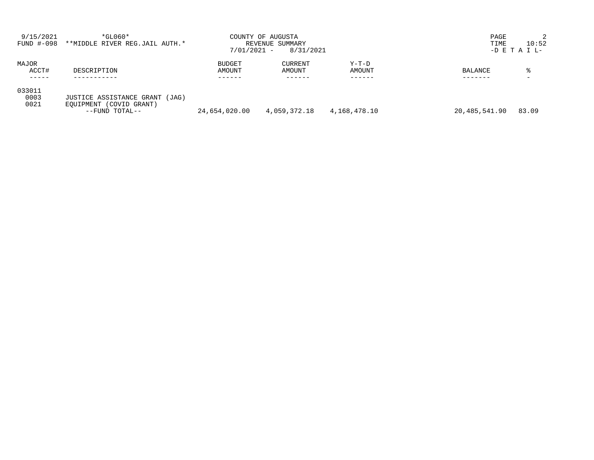| 9/15/2021<br>FUND #-098 | $*GLO60*$<br>**MIDDLE RIVER REG.JAIL AUTH.*                                 | $7/01/2021 -$                     | COUNTY OF AUGUSTA<br>REVENUE SUMMARY<br>8/31/2021 |                             | PAGE<br>TIME              | 2<br>10:52<br>$-D$ E T A I L- |
|-------------------------|-----------------------------------------------------------------------------|-----------------------------------|---------------------------------------------------|-----------------------------|---------------------------|-------------------------------|
| MAJOR<br>ACCT#          | DESCRIPTION                                                                 | <b>BUDGET</b><br>AMOUNT<br>------ | <b>CURRENT</b><br>AMOUNT                          | $Y-T-D$<br>AMOUNT<br>------ | <b>BALANCE</b><br>------- |                               |
| 033011<br>0003<br>0021  | JUSTICE ASSISTANCE GRANT (JAG)<br>EOUIPMENT (COVID GRANT)<br>--FUND TOTAL-- | 24,654,020.00                     | 4,059,372.18                                      | 4,168,478.10                | 20,485,541.90             | 83.09                         |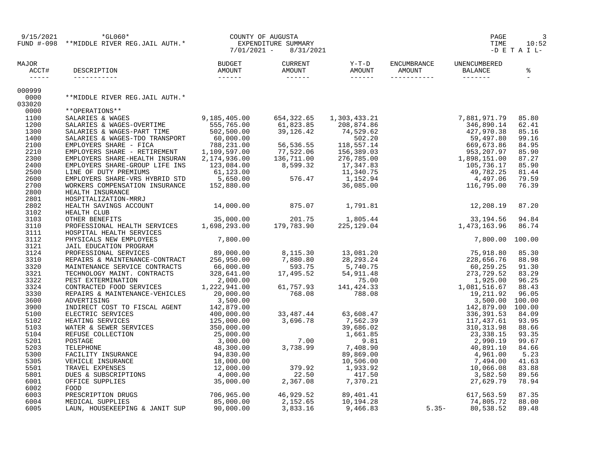|                | $\begin{array}{lllllll} 9/15/2021 & & \star_{\text{GL060}}\star & & & \text{COUNTY OF AUGUSTA} \\ \text{FUND #-098} & & \star{\star_{\text{MIDDLE RIVER REG.JAIL AUTH.*}} } & & & \text{EXPENDITURE SUMARY} \\ \end{array}$                                              |  |  | PAGE<br>TIME    | 10:52<br>$-D$ E T A I L- |
|----------------|--------------------------------------------------------------------------------------------------------------------------------------------------------------------------------------------------------------------------------------------------------------------------|--|--|-----------------|--------------------------|
| MAJOR<br>ACCT# | $\begin{tabular}{lcccccc} \texttt{DESCRIPITION} & \texttt{X-T-D} & \texttt{ENCUMBRANCE} & \texttt{UNENCUMBERED} \\ \texttt{AMOUNT} & \texttt{AMOUNT} & \texttt{AMOUNT} & \texttt{AMOUNT} & \texttt{AMOUNT} & \texttt{AMOUNT} & \texttt{BALANCE} \\ \hline \end{tabular}$ |  |  |                 | ⊱                        |
| 000999         |                                                                                                                                                                                                                                                                          |  |  |                 |                          |
| 0000<br>033020 | **MIDDLE RIVER REG.JAIL AUTH.*                                                                                                                                                                                                                                           |  |  |                 |                          |
| 0000           | **OPERATIONS**                                                                                                                                                                                                                                                           |  |  |                 |                          |
| 1100           |                                                                                                                                                                                                                                                                          |  |  |                 | 85.80                    |
| 1200           |                                                                                                                                                                                                                                                                          |  |  |                 | 62.41                    |
| 1300           |                                                                                                                                                                                                                                                                          |  |  |                 | 85.16                    |
| 1400           |                                                                                                                                                                                                                                                                          |  |  |                 | 99.16                    |
| 2100           |                                                                                                                                                                                                                                                                          |  |  |                 | 84.95                    |
| 2210           |                                                                                                                                                                                                                                                                          |  |  |                 | 85.90                    |
| 2300           |                                                                                                                                                                                                                                                                          |  |  |                 | 87.27                    |
| 2400           |                                                                                                                                                                                                                                                                          |  |  |                 | 85.90                    |
| 2500           |                                                                                                                                                                                                                                                                          |  |  |                 | 81.44                    |
| 2600           |                                                                                                                                                                                                                                                                          |  |  |                 | 79.59                    |
| 2700           |                                                                                                                                                                                                                                                                          |  |  |                 | 76.39                    |
| 2800           | HEALTH INSURANCE                                                                                                                                                                                                                                                         |  |  |                 |                          |
| 2801           | HOSPITALIZATION-MRRJ<br>HEALTH SAVINGS ACCOUNT 14,000.00 875.07 1,791.81 19                                                                                                                                                                                              |  |  |                 |                          |
| 2802           |                                                                                                                                                                                                                                                                          |  |  |                 | 87.20                    |
| 3102           | HEALTH CLUB<br>OTHER BENEFITS<br>PROFESSIONAL HEALTH SERVICES 1,698,293.00 179,783.90 225,129.04 1,805.44<br>PROFESSIONAL HEALTH SERVICES 1,698,293.00 179,783.90 225,129.04 1,473,163.96                                                                                |  |  |                 |                          |
| 3103           |                                                                                                                                                                                                                                                                          |  |  |                 | 94.84                    |
| 3110           |                                                                                                                                                                                                                                                                          |  |  |                 | 86.74                    |
| 3111           |                                                                                                                                                                                                                                                                          |  |  |                 |                          |
| 3112<br>3121   |                                                                                                                                                                                                                                                                          |  |  | 7,800.00 100.00 |                          |
| 3124           |                                                                                                                                                                                                                                                                          |  |  |                 | 85.30                    |
| 3310           |                                                                                                                                                                                                                                                                          |  |  |                 | 88.98                    |
| 3320           |                                                                                                                                                                                                                                                                          |  |  |                 | 91.30                    |
| 3321           |                                                                                                                                                                                                                                                                          |  |  |                 | 83.29                    |
| 3322           |                                                                                                                                                                                                                                                                          |  |  |                 | 96.25                    |
| 3324           |                                                                                                                                                                                                                                                                          |  |  |                 | 88.43                    |
| 3330           |                                                                                                                                                                                                                                                                          |  |  |                 | 96.05                    |
| 3600           |                                                                                                                                                                                                                                                                          |  |  |                 | 100.00                   |
| 3900           |                                                                                                                                                                                                                                                                          |  |  |                 | 100.00                   |
| 5100           |                                                                                                                                                                                                                                                                          |  |  |                 | 84.09                    |
| 5102           |                                                                                                                                                                                                                                                                          |  |  |                 | 93.95                    |
| 5103           |                                                                                                                                                                                                                                                                          |  |  |                 | 88.66                    |
| 5104           |                                                                                                                                                                                                                                                                          |  |  |                 | 93.35                    |
| 5201           |                                                                                                                                                                                                                                                                          |  |  |                 | 99.67                    |
| 5203           | $\begin{tabular}{l cccc} \textbf{MED} & 13.001.001 & 0.0000 & 0.0000 & 0.00000 & 0.00000 & 0.00000 & 0.00000 & 0.00000 & 0.00000 & 0.00000 & 0.00000 & 0.00000 & 0.00000 & 0.00000 & 0.00000 & 0.00000 & 0.00000 & 0.00000 & 0.00000 & 0.00000 & 0.00000 & 0.00000 & 0.$ |  |  |                 | 84.66                    |
| 5300           |                                                                                                                                                                                                                                                                          |  |  |                 | 5.23                     |
| 5305           |                                                                                                                                                                                                                                                                          |  |  |                 | 41.63                    |
| 5501           |                                                                                                                                                                                                                                                                          |  |  |                 | 83.88                    |
| 5801           |                                                                                                                                                                                                                                                                          |  |  |                 | 89.56                    |
| 6001           |                                                                                                                                                                                                                                                                          |  |  |                 | 78.94                    |
| 6002           | 0001 10,194.28 EVOU<br>PRESCRIPTION DRUGS 17,563.59 706,965.00 16,929.52 89,401.41 617,563.59<br>MEDICAL SUPPLIES 85,000.00 2,152.65 10,194.28 74,805.72<br>LAUN, HOUSEKEEPING & JANIT SUP 90,000.00 3,833.16 9,466.83 5.35- 80,538.52                                   |  |  |                 |                          |
| 6003           |                                                                                                                                                                                                                                                                          |  |  |                 | 87.35                    |
| 6004           |                                                                                                                                                                                                                                                                          |  |  |                 | 88.00                    |
| 6005           |                                                                                                                                                                                                                                                                          |  |  |                 | 89.48                    |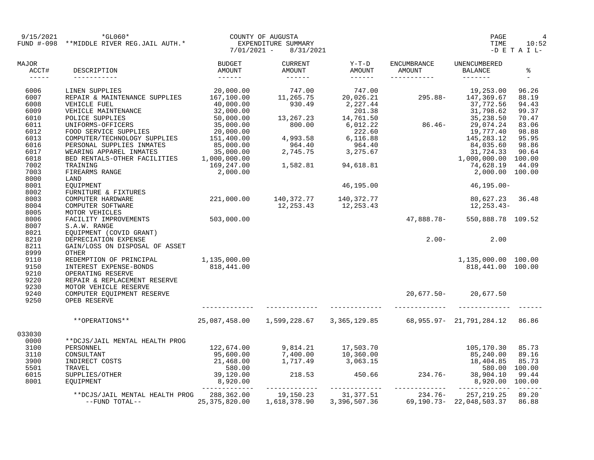| 9/15/2021      | $*$ GL060*<br>FUND #-098 **MIDDLE RIVER REG.JAIL AUTH.*                                                                                                                                                                                      |                        | COUNTY OF AUGUSTA<br>EXPENDITURE SUMMARY<br>$7/01/2021 - 8/31/2021$                                                                                                                                                                                                                                                                                                                                                                                                                                         |                   |                                      | PAGE<br>TIME                               | $\overline{4}$<br>10:52<br>$-D$ E T A I L- |
|----------------|----------------------------------------------------------------------------------------------------------------------------------------------------------------------------------------------------------------------------------------------|------------------------|-------------------------------------------------------------------------------------------------------------------------------------------------------------------------------------------------------------------------------------------------------------------------------------------------------------------------------------------------------------------------------------------------------------------------------------------------------------------------------------------------------------|-------------------|--------------------------------------|--------------------------------------------|--------------------------------------------|
| MAJOR<br>ACCT# |                                                                                                                                                                                                                                              |                        | CURRENT<br>AMOUNT<br>$\begin{array}{cccccccccc} \multicolumn{2}{c}{} & \multicolumn{2}{c}{} & \multicolumn{2}{c}{} & \multicolumn{2}{c}{} & \multicolumn{2}{c}{} & \multicolumn{2}{c}{} & \multicolumn{2}{c}{} & \multicolumn{2}{c}{} & \multicolumn{2}{c}{} & \multicolumn{2}{c}{} & \multicolumn{2}{c}{} & \multicolumn{2}{c}{} & \multicolumn{2}{c}{} & \multicolumn{2}{c}{} & \multicolumn{2}{c}{} & \multicolumn{2}{c}{} & \multicolumn{2}{c}{} & \multicolumn{2}{c}{} & \multicolumn{2}{c}{} & \mult$ | $Y-T-D$<br>AMOUNT | ENCUMBRANCE<br>AMOUNT<br>----------- | UNENCUMBERED<br>BALANCE<br>$- - - - - - -$ | နွ<br>$\equiv$                             |
| 6006           | LINEN SUPPLIES                                                                                                                                                                                                                               |                        | $\begin{array}{cccc} 20\, , 000\, . \, 00 & 747\, . \, 00 & 747\, . \, 00 \\ 167\, , 100\, . \, 00 & 11\, , 265\, . \, 75 & 20\, , 026\, . \, 21 \\ 40\, , 000\, . \, 00 & 930\, . \, 49 & 2\, , 227\, . \, 44 \\ \end{array}$                                                                                                                                                                                                                                                                              |                   |                                      | 19,253.00                                  | 96.26                                      |
| 6007           | REPAIR & MAINTENANCE SUPPLIES 167,100.00                                                                                                                                                                                                     |                        |                                                                                                                                                                                                                                                                                                                                                                                                                                                                                                             |                   | $20,026.21$ $295.88 - 147,369.67$    |                                            | 88.19                                      |
| 6008           |                                                                                                                                                                                                                                              |                        |                                                                                                                                                                                                                                                                                                                                                                                                                                                                                                             |                   |                                      |                                            |                                            |
| 6009           |                                                                                                                                                                                                                                              |                        |                                                                                                                                                                                                                                                                                                                                                                                                                                                                                                             |                   |                                      |                                            |                                            |
| 6010           | VEHICLE FUEL<br>VEHICLE MAINTENANCE 32,000.00<br>POLICE SUPPLIES 35,000.00<br>POLICE SUPPLIES 50,000.00<br>FOOD SERVICE SUPPLIES 35,000.00<br>FOOD SERVICE SUPPLIES 35,000.00<br>COMPUTER/TECHNOLOGY SUPPLIES 151,400.00<br>PERSONAI. SUPPLI |                        | $\begin{array}{cccccc} 11,265.75 & 20,026.21 & 295.88- & 147,369.67 & 88.19 \\ 930.49 & 2,227.44 & 37,772.56 & 94.43 \\ 2,01.38 & 21,798.65 & 94.37 \\ 800.00 & 6,012.22 & 86.46- & 29,074.24 & 83.06 \\ 222.60 & 19,777.40 & 98.88 \\ 964.40 & 964.40 & 84,035.60 & 9$                                                                                                                                                                                                                                     |                   |                                      |                                            |                                            |
| 6011           |                                                                                                                                                                                                                                              |                        |                                                                                                                                                                                                                                                                                                                                                                                                                                                                                                             |                   |                                      |                                            |                                            |
| 6012           |                                                                                                                                                                                                                                              |                        |                                                                                                                                                                                                                                                                                                                                                                                                                                                                                                             |                   |                                      |                                            |                                            |
| 6013           |                                                                                                                                                                                                                                              |                        |                                                                                                                                                                                                                                                                                                                                                                                                                                                                                                             |                   |                                      |                                            |                                            |
| 6016           | PERSONAL SUPPLIES INMATES                                                                                                                                                                                                                    | 85,000.00              |                                                                                                                                                                                                                                                                                                                                                                                                                                                                                                             |                   |                                      |                                            |                                            |
| 6017           | WEARING APPAREL INMATES<br>WEARING APPAREL INMATES 35,000.00<br>BED RENTALS-OTHER FACILITIES 1,000,000.00                                                                                                                                    | 35,000.00              |                                                                                                                                                                                                                                                                                                                                                                                                                                                                                                             |                   |                                      |                                            |                                            |
| 6018<br>7002   |                                                                                                                                                                                                                                              |                        |                                                                                                                                                                                                                                                                                                                                                                                                                                                                                                             |                   |                                      |                                            |                                            |
| 7003           | TRAINING<br>FIREARMS RANGE<br>LAND                                                                                                                                                                                                           | 169,247.00<br>2,000.00 |                                                                                                                                                                                                                                                                                                                                                                                                                                                                                                             |                   |                                      | 2,000.00 100.00                            |                                            |
| 8000           | LAND                                                                                                                                                                                                                                         |                        |                                                                                                                                                                                                                                                                                                                                                                                                                                                                                                             |                   |                                      |                                            |                                            |
| 8001           | EQUIPMENT                                                                                                                                                                                                                                    |                        |                                                                                                                                                                                                                                                                                                                                                                                                                                                                                                             |                   | 46,195.00                            | 46,195.00-                                 |                                            |
| 8002           |                                                                                                                                                                                                                                              |                        |                                                                                                                                                                                                                                                                                                                                                                                                                                                                                                             |                   |                                      |                                            |                                            |
| 8003           | EURNITURE & FIXTURES<br>COMPUTER HARDWARE<br>COMPUTER SOFTWARE<br>MOTOR VEHICLES<br>FACILITY IMPROVEMENTS<br>FACILITY IMPROVEMENTS<br>FACILITY IMPROVEMENTS<br>503,000.00<br>47,888.                                                         |                        |                                                                                                                                                                                                                                                                                                                                                                                                                                                                                                             |                   |                                      | 80,627.23                                  | 36.48                                      |
| 8004           |                                                                                                                                                                                                                                              |                        |                                                                                                                                                                                                                                                                                                                                                                                                                                                                                                             |                   |                                      | 12,253.43-                                 |                                            |
| 8005           |                                                                                                                                                                                                                                              |                        |                                                                                                                                                                                                                                                                                                                                                                                                                                                                                                             |                   |                                      |                                            |                                            |
| 8006           |                                                                                                                                                                                                                                              |                        |                                                                                                                                                                                                                                                                                                                                                                                                                                                                                                             |                   | 47,888.78- 550,888.78 109.52         |                                            |                                            |
| 8007           | S.A.W. RANGE                                                                                                                                                                                                                                 |                        |                                                                                                                                                                                                                                                                                                                                                                                                                                                                                                             |                   |                                      |                                            |                                            |
| 8021           | EQUIPMENT (COVID GRANT)                                                                                                                                                                                                                      |                        |                                                                                                                                                                                                                                                                                                                                                                                                                                                                                                             |                   |                                      |                                            |                                            |
| 8210           | DEPRECIATION EXPENSE                                                                                                                                                                                                                         |                        |                                                                                                                                                                                                                                                                                                                                                                                                                                                                                                             |                   | $2.00 -$                             | 2.00                                       |                                            |
| 8211           | GAIN/LOSS ON DISPOSAL OF ASSET                                                                                                                                                                                                               |                        |                                                                                                                                                                                                                                                                                                                                                                                                                                                                                                             |                   |                                      |                                            |                                            |
| 8999           | OTHER                                                                                                                                                                                                                                        |                        |                                                                                                                                                                                                                                                                                                                                                                                                                                                                                                             |                   |                                      |                                            |                                            |
| 9110           | REDEMPTION OF PRINCIPAL 1,135,000.00                                                                                                                                                                                                         |                        |                                                                                                                                                                                                                                                                                                                                                                                                                                                                                                             |                   |                                      | 1,135,000.00 100.00                        |                                            |
| 9150           | INTEREST EXPENSE-BONDS                                                                                                                                                                                                                       | 818,441.00             |                                                                                                                                                                                                                                                                                                                                                                                                                                                                                                             |                   |                                      | 818,441.00 100.00                          |                                            |
| 9210           | OPERATING RESERVE                                                                                                                                                                                                                            |                        |                                                                                                                                                                                                                                                                                                                                                                                                                                                                                                             |                   |                                      |                                            |                                            |
| 9220           | REPAIR & REPLACEMENT RESERVE                                                                                                                                                                                                                 |                        |                                                                                                                                                                                                                                                                                                                                                                                                                                                                                                             |                   |                                      |                                            |                                            |
| 9230<br>9240   | MOTOR VEHICLE RESERVE<br>COMPUTER EOUIPMENT RESERVE                                                                                                                                                                                          |                        |                                                                                                                                                                                                                                                                                                                                                                                                                                                                                                             |                   |                                      | 20,677.50-20,677.50                        |                                            |
| 9250           | OPEB RESERVE                                                                                                                                                                                                                                 |                        |                                                                                                                                                                                                                                                                                                                                                                                                                                                                                                             |                   |                                      |                                            |                                            |
|                |                                                                                                                                                                                                                                              |                        |                                                                                                                                                                                                                                                                                                                                                                                                                                                                                                             |                   |                                      |                                            |                                            |
|                | **OPERATIONS**                                                                                                                                                                                                                               |                        | 25,087,458.00  1,599,228.67  3,365,129.85  68,955.97-  21,791,284.12  86.86                                                                                                                                                                                                                                                                                                                                                                                                                                 |                   |                                      |                                            |                                            |
| 033030         |                                                                                                                                                                                                                                              |                        |                                                                                                                                                                                                                                                                                                                                                                                                                                                                                                             |                   |                                      |                                            |                                            |
| 0000           | **DCJS/JAIL MENTAL HEALTH PROG                                                                                                                                                                                                               |                        |                                                                                                                                                                                                                                                                                                                                                                                                                                                                                                             |                   |                                      |                                            |                                            |
| 3100           |                                                                                                                                                                                                                                              |                        |                                                                                                                                                                                                                                                                                                                                                                                                                                                                                                             |                   |                                      | 105,170.30                                 | 85.73                                      |
| 3110           |                                                                                                                                                                                                                                              |                        |                                                                                                                                                                                                                                                                                                                                                                                                                                                                                                             |                   |                                      | 85,240.00                                  | 89.16                                      |
| 3900           |                                                                                                                                                                                                                                              |                        | 122, 674.00<br>9, 814.21<br>95, 600.00<br>21, 468.00<br>1, 717.49<br>3, 063.15                                                                                                                                                                                                                                                                                                                                                                                                                              |                   |                                      | 18,404.85                                  | 85.73                                      |
| 5501           |                                                                                                                                                                                                                                              |                        |                                                                                                                                                                                                                                                                                                                                                                                                                                                                                                             |                   |                                      | 580.00 100.00                              |                                            |
| 6015           |                                                                                                                                                                                                                                              |                        |                                                                                                                                                                                                                                                                                                                                                                                                                                                                                                             |                   |                                      |                                            | 99.44                                      |
| 8001           |                                                                                                                                                                                                                                              |                        | -------------                                                                                                                                                                                                                                                                                                                                                                                                                                                                                               | ______________    |                                      | 8,920.00 100.00                            |                                            |
|                | **DCJS/JAIL MENTAL HEALTH PROG                                                                                                                                                                                                               | 288,362.00             | 19,150.23                                                                                                                                                                                                                                                                                                                                                                                                                                                                                                   | 31, 377.51        | $234.76-$                            | 257,219.25                                 | 89.20                                      |
|                | --FUND TOTAL--                                                                                                                                                                                                                               | 25, 375, 820, 00       | 1,618,378.90                                                                                                                                                                                                                                                                                                                                                                                                                                                                                                | 3,396,507.36      |                                      | 69.190.73-22.048.503.37                    | 86.88                                      |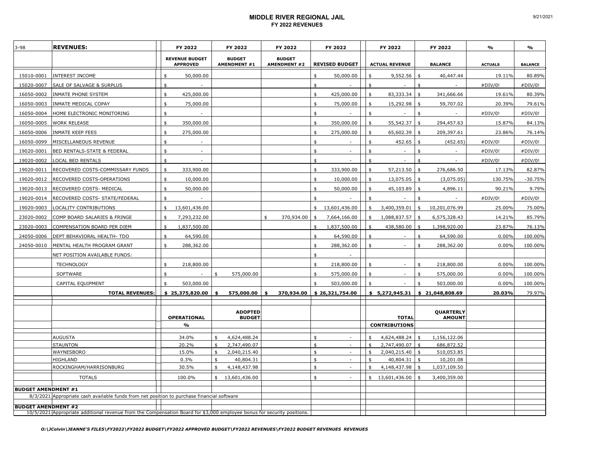#### **MIDDLE RIVER REGIONAL JAIL FY 2022 REVENUES**

| $3 - 98$                   | <b>REVENUES:</b>                                                                                                        |                    | FY 2022                                  |          | FY 2022                       | FY 2022                              |                     | FY 2022                            |          | FY 2022                              |                         | FY 2022                  | $\frac{9}{6}$  | %              |
|----------------------------|-------------------------------------------------------------------------------------------------------------------------|--------------------|------------------------------------------|----------|-------------------------------|--------------------------------------|---------------------|------------------------------------|----------|--------------------------------------|-------------------------|--------------------------|----------------|----------------|
|                            |                                                                                                                         |                    | <b>REVENUE BUDGET</b><br><b>APPROVED</b> |          | <b>BUDGET</b><br>AMENDMENT #1 | <b>BUDGET</b><br><b>AMENDMENT #2</b> |                     | <b>REVISED BUDGET</b>              |          | <b>ACTUAL REVENUE</b>                |                         | <b>BALANCE</b>           | <b>ACTUALS</b> | <b>BALANCE</b> |
| 15010-0001                 | <b>INTEREST INCOME</b>                                                                                                  | \$                 | 50,000.00                                |          |                               |                                      | \$                  | 50,000.00                          | \$       | 9,552.56                             |                         | 40,447.44                | 19.11%         | 80.89%         |
| 15020-0007                 | SALE OF SALVAGE & SURPLUS                                                                                               | \$                 |                                          |          |                               |                                      | \$                  |                                    | \$       |                                      | \$                      |                          | #DIV/0!        | #DIV/0!        |
| 16050-0002                 | INMATE PHONE SYSTEM                                                                                                     | \$                 | 425,000.00                               |          |                               |                                      | \$                  | 425,000.00                         | \$       | 83,333.34                            | \$                      | 341,666.66               | 19.61%         | 80.39%         |
| 16050-0003                 | INMATE MEDICAL COPAY                                                                                                    | \$                 | 75,000.00                                |          |                               |                                      | \$                  | 75,000.00                          | \$       | 15,292.98                            |                         | 59,707.02                | 20.39%         | 79.61%         |
| 16050-0004                 | HOME ELECTRONIC MONITORING                                                                                              | \$                 |                                          |          |                               |                                      | \$                  |                                    | \$       |                                      | \$                      |                          | #DIV/0!        | #DIV/0!        |
| 16050-0005                 | <b>WORK RELEASE</b>                                                                                                     | \$                 | 350,000.00                               |          |                               |                                      | \$                  | 350,000.00                         | \$       | 55,542.37                            | \$                      | 294,457.63               | 15.87%         | 84.13%         |
| 16050-0006                 | INMATE KEEP FEES                                                                                                        | \$                 | 275,000.00                               |          |                               |                                      | \$                  | 275,000.00                         | \$       | 65,602.39                            | \$                      | 209,397.61               | 23.86%         | 76.14%         |
| 16050-0099                 | MISCELLANEOUS REVENUE                                                                                                   | $\ddot{\bm{\tau}}$ |                                          |          |                               |                                      | \$                  |                                    | \$       | 452.65                               |                         | (452.65)                 | #DIV/0!        | #DIV/0!        |
| 19020-0001                 | BED RENTALS-STATE & FEDERAL                                                                                             | \$                 |                                          |          |                               |                                      | \$                  |                                    | \$       |                                      |                         |                          | #DIV/0!        | #DIV/0!        |
| 19020-0002                 | LOCAL BED RENTALS                                                                                                       | $\ddot{\bm{\tau}}$ |                                          |          |                               |                                      | $\ddot{\text{s}}$   |                                    | \$       |                                      | $\ddot{\bm{\varsigma}}$ |                          | #DIV/0!        | #DIV/0!        |
| 19020-0011                 | RECOVERED COSTS-COMMISSARY FUNDS                                                                                        | \$                 | 333,900.00                               |          |                               |                                      |                     | 333,900.00                         | \$       | 57,213.50                            | \$                      | 276,686.50               | 17.13%         | 82.87%         |
| 19020-0012                 | RECOVERED COSTS-OPERATIONS                                                                                              | \$                 | 10,000.00                                |          |                               |                                      | \$                  | 10,000.00                          | \$       | 13,075.05                            | \$                      | (3,075.05)               | 130.75%        | $-30.75%$      |
| 19020-0013                 | RECOVERED COSTS- MEDICAL                                                                                                | \$                 | 50,000.00                                |          |                               |                                      | \$                  | 50,000.00                          | \$       | 45,103.89                            | \$                      | 4,896.11                 | 90.21%         | 9.79%          |
| 19020-0014                 | RECOVERED COSTS- STATE/FEDERAL                                                                                          | \$                 |                                          |          |                               |                                      | $\ddot{\text{s}}$   |                                    | \$       |                                      |                         |                          | #DIV/0!        | #DIV/0!        |
| 19020-0003                 | LOCALITY CONTRIBUTIONS                                                                                                  | \$                 | 13,601,436.00                            |          |                               |                                      |                     | 13,601,436.00                      | \$       | 3,400,359.01                         | $\frac{1}{2}$           | 10,201,076.99            | 25.00%         | 75.00%         |
| 23020-0002                 | COMP BOARD SALARIES & FRINGE                                                                                            |                    | 7,293,232.00                             |          |                               | 370,934.00                           |                     | 7,664,166.00                       | \$       | 1,088,837.57                         |                         | 6,575,328.43             | 14.21%         | 85.79%         |
| 23020-0003                 | COMPENSATION BOARD PER DIEM                                                                                             |                    | 1,837,500.00                             |          |                               |                                      |                     | 1,837,500.00                       | \$       | 438,580.00                           |                         | 1,398,920.00             | 23.87%         | 76.13%         |
| 24050-0006                 | DEPT BEHAVIORAL HEALTH- TDO                                                                                             | \$                 | 64,590.00                                |          |                               |                                      | \$                  | 64,590.00                          | \$       |                                      |                         | 64,590.00                | 0.00%          | 100.00%        |
| 24050-0010                 | MENTAL HEALTH PROGRAM GRANT                                                                                             | \$                 | 288,362.00                               |          |                               |                                      | \$                  | 288,362.00                         | \$       |                                      | $\ddot{\bm{\varsigma}}$ | 288,362.00               | 0.00%          | 100.00%        |
|                            | NET POSITION AVAILABLE FUNDS:                                                                                           |                    |                                          |          |                               |                                      | \$                  |                                    |          |                                      |                         |                          |                |                |
|                            | TECHNOLOGY                                                                                                              | \$                 | 218,800.00                               |          |                               |                                      | \$                  | 218,800.00                         | \$       |                                      | \$                      | 218,800.00               | 0.00%          | 100.00%        |
|                            | SOFTWARE                                                                                                                | \$                 |                                          | \$       | 575,000.00                    |                                      |                     | 575,000.00                         | \$       |                                      |                         | 575,000.00               | 0.00%          | 100.00%        |
|                            | CAPITAL EQUIPMENT                                                                                                       |                    | 503,000.00                               |          |                               |                                      |                     | 503,000.00                         | \$       |                                      |                         | 503,000.00               | 0.00%          | 100.00%        |
|                            | <b>TOTAL REVENUES:</b>                                                                                                  |                    | \$25,375,820.00                          | \$       | 575,000.00                    | \$<br>370,934.00                     |                     | \$26,321,754.00                    |          | \$5,272,945.31                       |                         | \$21,048,808.69          | 20.03%         | 79.97%         |
|                            |                                                                                                                         |                    |                                          |          |                               |                                      |                     |                                    |          |                                      |                         |                          |                |                |
|                            |                                                                                                                         |                    |                                          |          | <b>ADOPTED</b>                |                                      |                     |                                    |          |                                      |                         | QUARTERLY                |                |                |
|                            |                                                                                                                         |                    | OPERATIONAL<br>%                         |          | <b>BUDGET</b>                 |                                      |                     |                                    |          | <b>TOTAI</b><br><b>CONTRIBUTIONS</b> |                         | <b>AMOUNT</b>            |                |                |
|                            |                                                                                                                         |                    |                                          |          |                               |                                      |                     |                                    |          |                                      |                         |                          |                |                |
|                            | AUGUSTA                                                                                                                 |                    | 34.0%                                    | \$       | 4,624,488.24                  |                                      | \$                  | $\sim$                             | \$       | 4,624,488.24                         | <b>5</b>                | 1,156,122.06             |                |                |
|                            | STAUNTON<br>WAYNESBORO                                                                                                  |                    | 20.2%<br>15.0%                           | \$<br>\$ | 2,747,490.07<br>2,040,215.40  |                                      | $\mathfrak s$<br>\$ | $\overline{\phantom{a}}$<br>$\sim$ | \$<br>\$ | 2,747,490.07<br>2,040,215.40 \$      | \$                      | 686,872.52<br>510,053.85 |                |                |
|                            | HIGHLAND                                                                                                                |                    | 0.3%                                     | \$       | 40,804.31                     |                                      | \$                  | $\sim$                             | \$       | 40,804.31                            | \$                      | 10,201.08                |                |                |
|                            | ROCKINGHAM/HARRISONBURG                                                                                                 |                    | 30.5%                                    | \$       | 4,148,437.98                  |                                      | \$                  |                                    | \$       | 4,148,437.98                         | \$                      | 1,037,109.50             |                |                |
|                            | <b>TOTALS</b>                                                                                                           |                    | 100.0%                                   |          | \$13,601,436.00               |                                      | \$                  | $\sim$                             |          | \$13,601,436.00                      | \$                      | 3,400,359.00             |                |                |
|                            |                                                                                                                         |                    |                                          |          |                               |                                      |                     |                                    |          |                                      |                         |                          |                |                |
| <b>BUDGET AMENDMENT #1</b> | 8/3/2021 Appropriate cash available funds from net position to purchase financial software                              |                    |                                          |          |                               |                                      |                     |                                    |          |                                      |                         |                          |                |                |
| <b>BUDGET AMENDMENT #2</b> |                                                                                                                         |                    |                                          |          |                               |                                      |                     |                                    |          |                                      |                         |                          |                |                |
|                            | 10/5/2021 Appropriate additional revenue from the Compensation Board for \$3,000 employee bonus for security positions. |                    |                                          |          |                               |                                      |                     |                                    |          |                                      |                         |                          |                |                |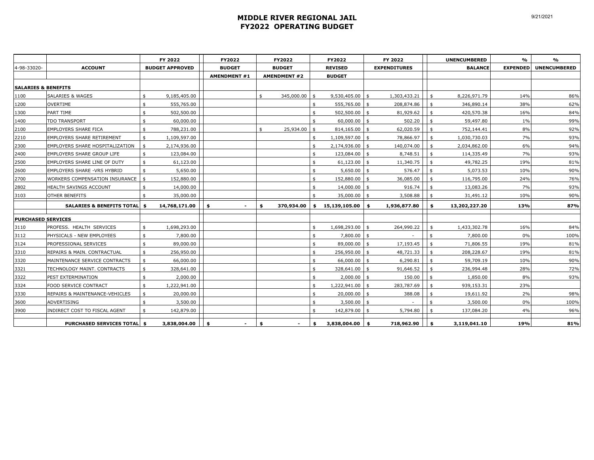### **MIDDLE RIVER REGIONAL JAIL FY2022 OPERATING BUDGET**

|             |                                           | FY 2022                |      | FY2022                   |    | FY2022              |      | FY2022            | FY 2022             | <b>UNENCUMBERED</b> | %               | %                   |
|-------------|-------------------------------------------|------------------------|------|--------------------------|----|---------------------|------|-------------------|---------------------|---------------------|-----------------|---------------------|
| 4-98-33020- | <b>ACCOUNT</b>                            | <b>BUDGET APPROVED</b> |      | <b>BUDGET</b>            |    | <b>BUDGET</b>       |      | <b>REVISED</b>    | <b>EXPENDITURES</b> | <b>BALANCE</b>      | <b>EXPENDED</b> | <b>UNENCUMBERED</b> |
|             |                                           |                        |      | <b>AMENDMENT #1</b>      |    | <b>AMENDMENT #2</b> |      | <b>BUDGET</b>     |                     |                     |                 |                     |
|             | <b>SALARIES &amp; BENEFITS</b>            |                        |      |                          |    |                     |      |                   |                     |                     |                 |                     |
| 1100        | <b>SALARIES &amp; WAGES</b>               | \$<br>9,185,405.00     |      |                          | \$ | 345,000.00 \$       |      | $9,530,405.00$ \$ | 1,303,433.21        | \$<br>8,226,971.79  | 14%             | 86%                 |
| 1200        | <b>OVERTIME</b>                           | \$<br>555,765.00       |      |                          |    |                     | \$   | 555,765.00        | \$<br>208,874.86    | \$<br>346,890.14    | 38%             | 62%                 |
| 1300        | PART TIME                                 | \$<br>502,500.00       |      |                          |    |                     | \$   | $502,500.00$ \$   | 81,929.62           | \$<br>420,570.38    | 16%             | 84%                 |
| 1400        | <b>TDO TRANSPORT</b>                      | \$<br>60,000.00        |      |                          |    |                     | \$   | 60,000.00         | \$<br>502.20        | \$<br>59,497.80     | 1%              | 99%                 |
| 2100        | <b>EMPLOYERS SHARE FICA</b>               | \$<br>788,231.00       |      |                          | \$ | 25,934.00           | \$   | $814,165.00$ \$   | 62,020.59           | \$<br>752,144.41    | 8%              | 92%                 |
| 2210        | <b>EMPLOYERS SHARE RETIREMENT</b>         | \$<br>1,109,597.00     |      |                          |    |                     | \$   | 1,109,597.00 \$   | 78,866.97           | \$<br>1,030,730.03  | 7%              | 93%                 |
| 2300        | EMPLOYERS SHARE HOSPITALIZATION           | \$<br>2,174,936.00     |      |                          |    |                     | \$   | 2,174,936.00 \$   | 140,074.00          | \$<br>2,034,862.00  | 6%              | 94%                 |
| 2400        | EMPLOYERS SHARE GROUP LIFE                | \$<br>123,084.00       |      |                          |    |                     | \$   | 123,084.00 \$     | 8,748.51            | \$<br>114,335.49    | 7%              | 93%                 |
| 2500        | EMPLOYERS SHARE LINE OF DUTY              | \$<br>61,123.00        |      |                          |    |                     | \$   | 61,123.00         | \$<br>11,340.75     | \$<br>49,782.25     | 19%             | 81%                 |
| 2600        | EMPLOYERS SHARE - VRS HYBRID              | \$<br>5,650.00         |      |                          |    |                     | \$   | $5,650.00$ \$     | 576.47              | \$<br>5,073.53      | 10%             | 90%                 |
| 2700        | WORKERS COMPENSATION INSURANCE            | \$<br>152,880.00       |      |                          |    |                     | \$   | 152,880.00        | \$<br>36,085.00     | \$<br>116,795.00    | 24%             | 76%                 |
| 2802        | HEALTH SAVINGS ACCOUNT                    | \$<br>14,000.00        |      |                          |    |                     | \$   | 14,000.00 \$      | 916.74              | \$<br>13,083.26     | 7%              | 93%                 |
| 3103        | OTHER BENEFITS                            | \$<br>35,000.00        |      |                          |    |                     | \$   | 35,000.00         | \$<br>3,508.88      | \$<br>31,491.12     | 10%             | 90%                 |
|             | SALARIES & BENEFITS TOTAL \$              | 14,768,171.00          | \$   | $\overline{\phantom{a}}$ | Ś. | 370,934.00          | \$   | 15,139,105.00     | \$<br>1,936,877.80  | \$<br>13,202,227.20 | 13%             | 87%                 |
|             | <b>PURCHASED SERVICES</b>                 |                        |      |                          |    |                     |      |                   |                     |                     |                 |                     |
| 3110        | PROFESS. HEALTH SERVICES                  | \$<br>1,698,293.00     |      |                          |    |                     | \$   | 1,698,293.00 \$   | 264,990.22          | 1,433,302.78        | 16%             | 84%                 |
| 3112        | PHYSICALS - NEW EMPLOYEES                 | \$<br>7,800.00         |      |                          |    |                     | \$   | 7,800.00          | \$                  | \$<br>7,800.00      | 0%              | 100%                |
| 3124        | <b>PROFESSIONAL SERVICES</b>              | \$<br>89,000.00        |      |                          |    |                     | \$   | 89,000.00         | \$<br>17,193.45     | \$<br>71,806.55     | 19%             | 81%                 |
| 3310        | REPAIRS & MAIN. CONTRACTUAL               | \$<br>256,950.00       |      |                          |    |                     | \$   | 256,950.00        | \$<br>48,721.33     | \$<br>208,228.67    | 19%             | 81%                 |
| 3320        | MAINTENANCE SERVICE CONTRACTS             | \$<br>66,000.00        |      |                          |    |                     | \$   | $66,000.00$ \$    | 6,290.81            | \$<br>59,709.19     | 10%             | 90%                 |
| 3321        | TECHNOLOGY MAINT. CONTRACTS               | \$<br>328,641.00       |      |                          |    |                     | \$   | 328,641.00        | \$<br>91,646.52     | \$<br>236,994.48    | 28%             | 72%                 |
| 3322        | PEST EXTERMINATION                        | \$<br>2,000.00         |      |                          |    |                     | \$   | $2,000.00$ \$     | 150.00              | \$<br>1,850.00      | 8%              | 93%                 |
| 3324        | <b>FOOD SERVICE CONTRACT</b>              | \$<br>1,222,941.00     |      |                          |    |                     | \$   | 1,222,941.00 \$   | 283,787.69          | \$<br>939,153.31    | 23%             |                     |
| 3330        | <b>REPAIRS &amp; MAINTENANCE-VEHICLES</b> | \$<br>20,000.00        |      |                          |    |                     | \$   | $20,000.00$ \$    | 388.08              | \$<br>19,611.92     | 2%              | 98%                 |
| 3600        | ADVERTISING                               | \$<br>3,500.00         |      |                          |    |                     | \$   | $3,500.00$ \$     |                     | \$<br>3,500.00      | 0%              | 100%                |
| 3900        | INDIRECT COST TO FISCAL AGENT             | \$<br>142,879.00       |      |                          |    |                     | \$   | 142,879.00 \$     | 5,794.80            | \$<br>137,084.20    | 4%              | 96%                 |
|             | <b>PURCHASED SERVICES TOTAL   \$</b>      | 3,838,004.00           | - \$ |                          | \$ |                     | - 43 | 3,838,004.00      | \$<br>718,962.90    | \$<br>3,119,041.10  | 19%             | 81%                 |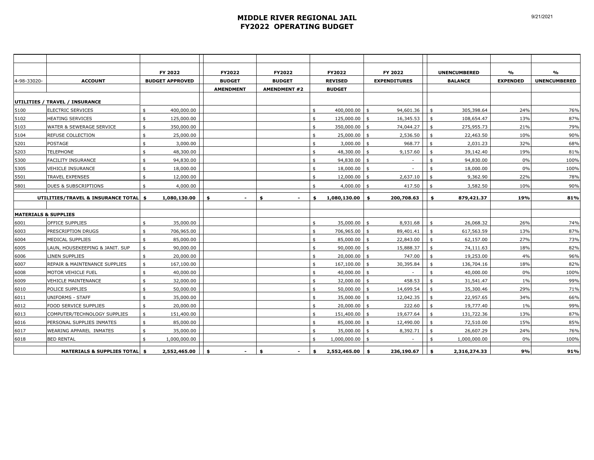### **MIDDLE RIVER REGIONAL JAIL FY2022 OPERATING BUDGET**

|                                 |                                       | FY 2022                | FY2022<br><b>BUDGET</b>          | FY2022<br><b>BUDGET</b> | FY2022                          | FY 2022             |                    | <b>UNENCUMBERED</b> | $\frac{9}{6}$   | $\frac{9}{6}$       |
|---------------------------------|---------------------------------------|------------------------|----------------------------------|-------------------------|---------------------------------|---------------------|--------------------|---------------------|-----------------|---------------------|
| 4-98-33020-                     | <b>ACCOUNT</b>                        | <b>BUDGET APPROVED</b> |                                  |                         | <b>REVISED</b><br><b>BUDGET</b> | <b>EXPENDITURES</b> |                    | <b>BALANCE</b>      | <b>EXPENDED</b> | <b>UNENCUMBERED</b> |
|                                 |                                       |                        | <b>AMENDMENT</b>                 | <b>AMENDMENT #2</b>     |                                 |                     |                    |                     |                 |                     |
|                                 | UTILITIES / TRAVEL / INSURANCE        |                        |                                  |                         |                                 |                     |                    |                     |                 |                     |
| 5100                            | ELECTRIC SERVICES                     | \$<br>400,000.00       |                                  |                         | \$<br>400,000.00 \$             | 94,601.36           | \$                 | 305,398.64          | 24%             | 76%                 |
| 5102                            | <b>HEATING SERVICES</b>               | \$<br>125,000.00       |                                  |                         | \$<br>125,000.00 \$             | 16,345.53           | \$                 | 108,654.47          | 13%             | 87%                 |
| 5103                            | WATER & SEWERAGE SERVICE              | \$<br>350,000.00       |                                  |                         | \$<br>350,000.00 \$             | 74,044.27           | \$                 | 275,955.73          | 21%             | 79%                 |
| 5104                            | REFUSE COLLECTION                     | \$<br>25,000.00        |                                  |                         | \$<br>$25,000.00$ \$            | 2,536.50            | $\sqrt{5}$         | 22,463.50           | 10%             | 90%                 |
| 5201                            | <b>POSTAGE</b>                        | \$<br>3,000.00         |                                  |                         | \$<br>$3,000.00$ \$             | 968.77              | \$                 | 2,031.23            | 32%             | 68%                 |
| 5203                            | <b>TELEPHONE</b>                      | \$<br>48,300.00        |                                  |                         | \$<br>48,300.00 \$              | 9,157.60            | \$                 | 39,142.40           | 19%             | 81%                 |
| 5300                            | FACILITY INSURANCE                    | \$<br>94,830.00        |                                  |                         | \$<br>$94,830.00$ \$            | ×.                  | $\mathbf{\hat{z}}$ | 94,830.00           | 0%              | 100%                |
| 5305                            | <b>VEHICLE INSURANCE</b>              | \$<br>18,000.00        |                                  |                         | \$<br>$18,000.00$ \$            | $\sim$              | \$                 | 18,000.00           | 0%              | 100%                |
| 5501                            | <b>TRAVEL EXPENSES</b>                | \$<br>12,000.00        |                                  |                         | \$<br>$12,000.00$ \$            | 2,637.10            | \$                 | 9,362.90            | 22%             | 78%                 |
| 5801                            | DUES & SUBSCRIPTIONS                  | 4,000.00               |                                  |                         | \$<br>$4,000.00$ \$             | 417.50              | $\mathsf{s}$       | 3,582.50            | 10%             | 90%                 |
|                                 | UTILITIES/TRAVEL & INSURANCE TOTAL \$ | 1,080,130.00           | \$<br>$\blacksquare$             | Ś.<br>$\blacksquare$    | \$<br>1,080,130.00              | \$<br>200,708.63    | \$                 | 879,421.37          | 19%             | 81%                 |
|                                 |                                       |                        |                                  |                         |                                 |                     |                    |                     |                 |                     |
| <b>MATERIALS &amp; SUPPLIES</b> |                                       |                        |                                  |                         |                                 |                     |                    |                     |                 |                     |
| 6001                            | OFFICE SUPPLIES                       | \$<br>35,000.00        |                                  |                         | \$<br>$35,000.00$ \$            | 8,931.68            | \$                 | 26,068.32           | 26%             | 74%                 |
| 6003                            | PRESCRIPTION DRUGS                    | \$<br>706,965.00       |                                  |                         | \$<br>706,965.00 \$             | 89,401.41           | \$                 | 617,563.59          | 13%             | 87%                 |
| 6004                            | MEDICAL SUPPLIES                      | \$<br>85,000.00        |                                  |                         | \$<br>$85,000.00$ \$            | 22,843.00           | \$                 | 62,157.00           | 27%             | 73%                 |
| 6005                            | LAUN, HOUSEKEEPING & JANIT. SUP       | \$<br>90,000.00        |                                  |                         | \$<br>$90,000.00$ \$            | 15,888.37           | $\mathbf{\hat{z}}$ | 74,111.63           | 18%             | 82%                 |
| 6006                            | LINEN SUPPLIES                        | \$<br>20,000.00        |                                  |                         | \$<br>$20,000.00$ \$            | 747.00              | \$                 | 19,253.00           | 4%              | 96%                 |
| 6007                            | REPAIR & MAINTENANCE SUPPLIES         | \$<br>167,100.00       |                                  |                         | \$<br>$167,100.00$ \$           | 30,395.84           | \$                 | 136,704.16          | 18%             | 82%                 |
| 6008                            | MOTOR VEHICLE FUEL                    | \$<br>40,000.00        |                                  |                         | \$<br>$40,000.00$ \$            |                     | \$                 | 40,000.00           | 0%              | 100%                |
| 6009                            | <b>VEHICLE MAINTENANCE</b>            | \$<br>32,000.00        |                                  |                         | \$<br>$32,000.00$ \$            | 458.53              | \$                 | 31,541.47           | 1%              | 99%                 |
| 6010                            | POLICE SUPPLIES                       | \$<br>50,000.00        |                                  |                         | \$<br>$50,000.00$ \$            | 14,699.54           | $\mathfrak{s}$     | 35,300.46           | 29%             | 71%                 |
| 6011                            | UNIFORMS - STAFF                      | \$<br>35,000.00        |                                  |                         | \$<br>35,000.00 \$              | 12,042.35           | \$                 | 22,957.65           | 34%             | 66%                 |
| 6012                            | FOOD SERVICE SUPPLIES                 | \$<br>20,000.00        |                                  |                         | \$<br>$20,000.00$ \$            | 222.60              | \$                 | 19,777.40           | 1%              | 99%                 |
| 6013                            | COMPUTER/TECHNOLOGY SUPPLIES          | \$<br>151,400.00       |                                  |                         | \$<br>151,400.00 \$             | 19,677.64           | \$                 | 131,722.36          | 13%             | 87%                 |
| 6016                            | PERSONAL SUPPLIES INMATES             | \$<br>85,000.00        |                                  |                         | \$<br>$85,000.00$ \$            | 12,490.00           | \$                 | 72,510.00           | 15%             | 85%                 |
| 6017                            | WEARING APPAREL INMATES               | \$<br>35,000.00        |                                  |                         | \$<br>$35,000.00$ \$            | 8,392.71            | \$                 | 26,607.29           | 24%             | 76%                 |
| 6018                            | <b>BED RENTAL</b>                     | \$<br>1,000,000.00     |                                  |                         | \$<br>$1,000,000.00$ \$         |                     | \$                 | 1,000,000.00        | 0%              | 100%                |
|                                 | MATERIALS & SUPPLIES TOTAL \$         | 2,552,465.00           | - \$<br>$\overline{\phantom{0}}$ | \$<br>$\blacksquare$    | \$<br>$2,552,465.00$ \$         | 236,190.67          | -\$                | 2,316,274.33        | 9%              | 91%                 |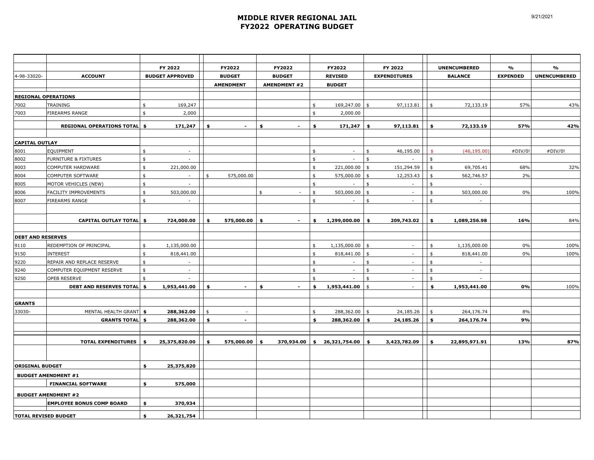### **MIDDLE RIVER REGIONAL JAIL FY2022 OPERATING BUDGET**

|                             |                                     | FY 2022                                   | FY2022               | FY2022               | FY2022                            |                         | FY 2022                  |                | <b>UNENCUMBERED</b>      | %               | $\frac{9}{6}$       |
|-----------------------------|-------------------------------------|-------------------------------------------|----------------------|----------------------|-----------------------------------|-------------------------|--------------------------|----------------|--------------------------|-----------------|---------------------|
| 4-98-33020-                 | <b>ACCOUNT</b>                      | <b>BUDGET APPROVED</b>                    | <b>BUDGET</b>        | <b>BUDGET</b>        | <b>REVISED</b>                    |                         | <b>EXPENDITURES</b>      |                | <b>BALANCE</b>           | <b>EXPENDED</b> | <b>UNENCUMBERED</b> |
|                             |                                     |                                           | <b>AMENDMENT</b>     | <b>AMENDMENT #2</b>  | <b>BUDGET</b>                     |                         |                          |                |                          |                 |                     |
|                             | <b>REGIONAL OPERATIONS</b>          |                                           |                      |                      |                                   |                         |                          |                |                          |                 |                     |
| 7002                        | TRAINING                            | 169,247<br>\$                             |                      |                      | \$<br>169,247.00                  | \$                      | 97,113.81                | \$             | 72,133.19                | 57%             | 43%                 |
| 7003                        | FIREARMS RANGE                      | 2,000<br>\$                               |                      |                      | \$<br>2,000.00                    |                         |                          |                |                          |                 |                     |
|                             |                                     |                                           |                      |                      |                                   |                         |                          |                |                          |                 |                     |
|                             | <b>REGIONAL OPERATIONS TOTAL \$</b> | 171,247                                   | \$<br>$\sim$         | \$<br>$\blacksquare$ | \$<br>171,247                     | \$                      | 97,113.81                | \$             | 72,133.19                | 57%             | 42%                 |
| <b>CAPITAL OUTLAY</b>       |                                     |                                           |                      |                      |                                   |                         |                          |                |                          |                 |                     |
| 8001                        | EQUIPMENT                           | \$<br>$\sim$                              |                      |                      | \$<br>$\sim$                      | \$                      | 46,195.00                | - \$           | (46, 195.00)             | #DIV/0!         | #DIV/0!             |
| 8002                        | <b>FURNITURE &amp; FIXTURES</b>     | \$                                        |                      |                      | \$                                | \$                      |                          | \$             |                          |                 |                     |
| 8003                        | COMPUTER HARDWARE                   | 221,000.00<br>\$                          |                      |                      | \$<br>221,000.00                  | $\ddot{\bm{\tau}}$      | 151,294.59               | \$             | 69,705.41                | 68%             | 32%                 |
| 8004                        | COMPUTER SOFTWARE                   | $\mathfrak s$<br>$\mathcal{L}$            | \$<br>575,000.00     |                      | \$<br>575,000.00                  | \$                      | 12,253.43                | \$             | 562,746.57               | 2%              |                     |
| 8005                        | MOTOR VEHICLES (NEW)                | \$<br>$\sim$                              |                      |                      | \$                                | \$                      | $\sim$                   | \$             |                          |                 |                     |
| 8006                        | FACILITY IMPROVEMENTS               | \$<br>503,000.00                          |                      | \$                   | \$<br>503,000.00                  | $\frac{4}{3}$           | $\sim$                   | \$             | 503,000.00               | 0%              | 100%                |
| 8007                        | FIREARMS RANGE                      | $\ddagger$<br>÷.                          |                      |                      | \$<br>×.                          | $\overline{\mathbf{s}}$ |                          | \$             |                          |                 |                     |
|                             |                                     |                                           |                      |                      |                                   |                         |                          |                |                          |                 |                     |
|                             | <b>CAPITAL OUTLAY TOTAL \$</b>      | 724,000.00                                | \$<br>575,000.00 \$  | $\blacksquare$       | \$<br>1,299,000.00                | \$                      | 209,743.02               | \$             | 1,089,256.98             | 16%             | 84%                 |
|                             |                                     |                                           |                      |                      |                                   |                         |                          |                |                          |                 |                     |
| <b>DEBT AND RESERVES</b>    |                                     |                                           |                      |                      |                                   |                         |                          |                |                          |                 |                     |
| 9110                        | REDEMPTION OF PRINCIPAL             | \$<br>1,135,000.00                        |                      |                      | \$<br>1,135,000.00                | \$                      | $\sim$                   | $\mathfrak{s}$ | 1,135,000.00             | 0%              | 100%                |
| 9150                        | <b>INTEREST</b>                     | $\mathfrak s$<br>818,441.00               |                      |                      | \$<br>818,441.00                  | \$                      | $\sim$                   | \$             | 818,441.00               | 0%              | 100%                |
| 9220                        | REPAIR AND REPLACE RESERVE          | $\frac{1}{2}$<br>$\overline{\phantom{a}}$ |                      |                      | \$<br>$\overline{\phantom{a}}$    | \$                      | $\overline{\phantom{a}}$ | \$             | $\overline{\phantom{a}}$ |                 |                     |
| 9240                        | COMPUTER EQUIPMENT RESERVE          | $\mathfrak s$                             |                      |                      | \$                                | \$                      | $\sim$                   | \$             |                          |                 |                     |
| 9250                        | OPEB RESERVE                        | \$<br>×.                                  |                      |                      | \$<br>$\mathcal{L}_{\mathcal{A}}$ | ¢                       | $\sim$                   | \$             |                          |                 |                     |
|                             | <b>DEBT AND RESERVES TOTAL \$</b>   | 1,953,441.00                              | \$<br>$\blacksquare$ | \$<br>$\blacksquare$ | \$<br>1,953,441.00                | $\mathbf{A}$            | $\sim$                   | \$             | 1,953,441.00             | 0%              | 100%                |
|                             |                                     |                                           |                      |                      |                                   |                         |                          |                |                          |                 |                     |
| GRANTS                      |                                     |                                           |                      |                      |                                   |                         |                          |                |                          |                 |                     |
| 33030-                      | MENTAL HEALTH GRANT \$              | 288,362.00                                | \$<br>$\sim$         |                      | \$<br>288,362.00                  | \$                      | 24,185.26                | \$             | 264,176.74               | 8%              |                     |
|                             | <b>GRANTS TOTAL \$</b>              | 288,362.00                                | \$<br>$\blacksquare$ |                      | \$<br>288,362.00                  | \$                      | 24,185.26                | \$             | 264,176.74               | 9%              |                     |
|                             |                                     |                                           |                      |                      |                                   |                         |                          |                |                          |                 |                     |
|                             |                                     |                                           |                      |                      |                                   |                         |                          |                |                          | 13%             | 87%                 |
|                             | <b>TOTAL EXPENDITURES</b> \$        | 25,375,820.00                             | \$<br>575,000.00     | \$<br>370,934.00     | \$ 26,321,754.00                  | \$                      | 3,423,782.09             | \$             | 22,895,971.91            |                 |                     |
|                             |                                     |                                           |                      |                      |                                   |                         |                          |                |                          |                 |                     |
| <b>ORIGINAL BUDGET</b>      |                                     | \$<br>25,375,820                          |                      |                      |                                   |                         |                          |                |                          |                 |                     |
|                             | <b>BUDGET AMENDMENT #1</b>          |                                           |                      |                      |                                   |                         |                          |                |                          |                 |                     |
|                             | <b>FINANCIAL SOFTWARE</b>           | 575,000<br>\$                             |                      |                      |                                   |                         |                          |                |                          |                 |                     |
|                             |                                     |                                           |                      |                      |                                   |                         |                          |                |                          |                 |                     |
|                             | <b>BUDGET AMENDMENT #2</b>          |                                           |                      |                      |                                   |                         |                          |                |                          |                 |                     |
|                             | <b>EMPLOYEE BONUS COMP BOARD</b>    | 370,934<br>\$                             |                      |                      |                                   |                         |                          |                |                          |                 |                     |
| <b>TOTAL REVISED BUDGET</b> |                                     | \$<br>26,321,754                          |                      |                      |                                   |                         |                          |                |                          |                 |                     |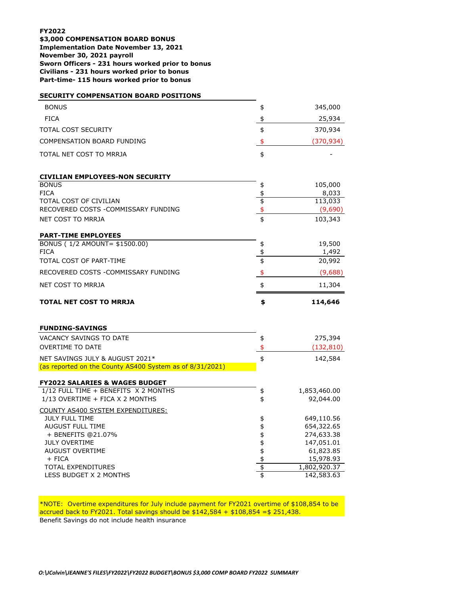**FY2022 \$3,000 COMPENSATION BOARD BONUS Implementation Date November 13, 2021 November 30, 2021 payroll Sworn Officers - 231 hours worked prior to bonus Civilians - 231 hours worked prior to bonus Part-time- 115 hours worked prior to bonus**

| <b>BONUS</b><br>345,000<br>\$<br><b>FICA</b><br>\$<br>25,934<br>\$<br>370,934<br><b>TOTAL COST SECURITY</b><br>COMPENSATION BOARD FUNDING<br>\$<br>(370, 934)<br>\$<br>TOTAL NET COST TO MRRJA<br><b>CIVILIAN EMPLOYEES-NON SECURITY</b><br><b>BONUS</b><br>105,000<br>\$<br><b>FICA</b><br>\$<br>8,033<br>\$<br>113,033<br>TOTAL COST OF CIVILIAN<br>\$<br>RECOVERED COSTS - COMMISSARY FUNDING<br>(9,690)<br>\$<br>NET COST TO MRRJA<br>103,343<br><b>PART-TIME EMPLOYEES</b><br>BONUS (1/2 AMOUNT= \$1500.00)<br>\$<br>19,500<br>\$<br><b>FICA</b><br>1,492<br>\$<br>TOTAL COST OF PART-TIME<br>20,992<br>RECOVERED COSTS - COMMISSARY FUNDING<br>\$<br>(9,688)<br>NET COST TO MRRJA<br>\$<br>11,304<br>TOTAL NET COST TO MRRJA<br>\$<br>114,646<br><b>FUNDING-SAVINGS</b><br><b>VACANCY SAVINGS TO DATE</b><br>275,394<br>\$<br><b>OVERTIME TO DATE</b><br>\$<br>(132, 810)<br>\$<br>NET SAVINGS JULY & AUGUST 2021*<br>142,584<br>(as reported on the County AS400 System as of 8/31/2021)<br><b>FY2022 SALARIES &amp; WAGES BUDGET</b><br>1/12 FULL TIME + BENEFITS X 2 MONTHS<br>1,853,460.00<br>\$<br>1/13 OVERTIME + FICA X 2 MONTHS<br>\$<br>92,044.00<br>COUNTY AS400 SYSTEM EXPENDITURES:<br><b>JULY FULL TIME</b><br>649,110.56<br>\$<br><b>AUGUST FULL TIME</b><br>\$\$\$\$<br>654,322.65<br>+ BENEFITS @21.07%<br>274,633.38<br><b>JULY OVERTIME</b><br>147,051.01<br><b>AUGUST OVERTIME</b><br>61,823.85<br>\$<br>15,978.93<br>+ FICA<br>\$<br><b>TOTAL EXPENDITURES</b><br>1,802,920.37 | <b>SECURITY COMPENSATION BOARD POSITIONS</b> |                  |
|----------------------------------------------------------------------------------------------------------------------------------------------------------------------------------------------------------------------------------------------------------------------------------------------------------------------------------------------------------------------------------------------------------------------------------------------------------------------------------------------------------------------------------------------------------------------------------------------------------------------------------------------------------------------------------------------------------------------------------------------------------------------------------------------------------------------------------------------------------------------------------------------------------------------------------------------------------------------------------------------------------------------------------------------------------------------------------------------------------------------------------------------------------------------------------------------------------------------------------------------------------------------------------------------------------------------------------------------------------------------------------------------------------------------------------------------------------------------------------------------------------|----------------------------------------------|------------------|
|                                                                                                                                                                                                                                                                                                                                                                                                                                                                                                                                                                                                                                                                                                                                                                                                                                                                                                                                                                                                                                                                                                                                                                                                                                                                                                                                                                                                                                                                                                          |                                              |                  |
|                                                                                                                                                                                                                                                                                                                                                                                                                                                                                                                                                                                                                                                                                                                                                                                                                                                                                                                                                                                                                                                                                                                                                                                                                                                                                                                                                                                                                                                                                                          |                                              |                  |
|                                                                                                                                                                                                                                                                                                                                                                                                                                                                                                                                                                                                                                                                                                                                                                                                                                                                                                                                                                                                                                                                                                                                                                                                                                                                                                                                                                                                                                                                                                          |                                              |                  |
|                                                                                                                                                                                                                                                                                                                                                                                                                                                                                                                                                                                                                                                                                                                                                                                                                                                                                                                                                                                                                                                                                                                                                                                                                                                                                                                                                                                                                                                                                                          |                                              |                  |
|                                                                                                                                                                                                                                                                                                                                                                                                                                                                                                                                                                                                                                                                                                                                                                                                                                                                                                                                                                                                                                                                                                                                                                                                                                                                                                                                                                                                                                                                                                          |                                              |                  |
|                                                                                                                                                                                                                                                                                                                                                                                                                                                                                                                                                                                                                                                                                                                                                                                                                                                                                                                                                                                                                                                                                                                                                                                                                                                                                                                                                                                                                                                                                                          |                                              |                  |
|                                                                                                                                                                                                                                                                                                                                                                                                                                                                                                                                                                                                                                                                                                                                                                                                                                                                                                                                                                                                                                                                                                                                                                                                                                                                                                                                                                                                                                                                                                          |                                              |                  |
|                                                                                                                                                                                                                                                                                                                                                                                                                                                                                                                                                                                                                                                                                                                                                                                                                                                                                                                                                                                                                                                                                                                                                                                                                                                                                                                                                                                                                                                                                                          |                                              |                  |
|                                                                                                                                                                                                                                                                                                                                                                                                                                                                                                                                                                                                                                                                                                                                                                                                                                                                                                                                                                                                                                                                                                                                                                                                                                                                                                                                                                                                                                                                                                          |                                              |                  |
|                                                                                                                                                                                                                                                                                                                                                                                                                                                                                                                                                                                                                                                                                                                                                                                                                                                                                                                                                                                                                                                                                                                                                                                                                                                                                                                                                                                                                                                                                                          |                                              |                  |
|                                                                                                                                                                                                                                                                                                                                                                                                                                                                                                                                                                                                                                                                                                                                                                                                                                                                                                                                                                                                                                                                                                                                                                                                                                                                                                                                                                                                                                                                                                          |                                              |                  |
|                                                                                                                                                                                                                                                                                                                                                                                                                                                                                                                                                                                                                                                                                                                                                                                                                                                                                                                                                                                                                                                                                                                                                                                                                                                                                                                                                                                                                                                                                                          |                                              |                  |
|                                                                                                                                                                                                                                                                                                                                                                                                                                                                                                                                                                                                                                                                                                                                                                                                                                                                                                                                                                                                                                                                                                                                                                                                                                                                                                                                                                                                                                                                                                          |                                              |                  |
|                                                                                                                                                                                                                                                                                                                                                                                                                                                                                                                                                                                                                                                                                                                                                                                                                                                                                                                                                                                                                                                                                                                                                                                                                                                                                                                                                                                                                                                                                                          |                                              |                  |
|                                                                                                                                                                                                                                                                                                                                                                                                                                                                                                                                                                                                                                                                                                                                                                                                                                                                                                                                                                                                                                                                                                                                                                                                                                                                                                                                                                                                                                                                                                          |                                              |                  |
|                                                                                                                                                                                                                                                                                                                                                                                                                                                                                                                                                                                                                                                                                                                                                                                                                                                                                                                                                                                                                                                                                                                                                                                                                                                                                                                                                                                                                                                                                                          |                                              |                  |
|                                                                                                                                                                                                                                                                                                                                                                                                                                                                                                                                                                                                                                                                                                                                                                                                                                                                                                                                                                                                                                                                                                                                                                                                                                                                                                                                                                                                                                                                                                          |                                              |                  |
|                                                                                                                                                                                                                                                                                                                                                                                                                                                                                                                                                                                                                                                                                                                                                                                                                                                                                                                                                                                                                                                                                                                                                                                                                                                                                                                                                                                                                                                                                                          |                                              |                  |
|                                                                                                                                                                                                                                                                                                                                                                                                                                                                                                                                                                                                                                                                                                                                                                                                                                                                                                                                                                                                                                                                                                                                                                                                                                                                                                                                                                                                                                                                                                          |                                              |                  |
|                                                                                                                                                                                                                                                                                                                                                                                                                                                                                                                                                                                                                                                                                                                                                                                                                                                                                                                                                                                                                                                                                                                                                                                                                                                                                                                                                                                                                                                                                                          |                                              |                  |
|                                                                                                                                                                                                                                                                                                                                                                                                                                                                                                                                                                                                                                                                                                                                                                                                                                                                                                                                                                                                                                                                                                                                                                                                                                                                                                                                                                                                                                                                                                          |                                              |                  |
|                                                                                                                                                                                                                                                                                                                                                                                                                                                                                                                                                                                                                                                                                                                                                                                                                                                                                                                                                                                                                                                                                                                                                                                                                                                                                                                                                                                                                                                                                                          |                                              |                  |
|                                                                                                                                                                                                                                                                                                                                                                                                                                                                                                                                                                                                                                                                                                                                                                                                                                                                                                                                                                                                                                                                                                                                                                                                                                                                                                                                                                                                                                                                                                          |                                              |                  |
|                                                                                                                                                                                                                                                                                                                                                                                                                                                                                                                                                                                                                                                                                                                                                                                                                                                                                                                                                                                                                                                                                                                                                                                                                                                                                                                                                                                                                                                                                                          |                                              |                  |
|                                                                                                                                                                                                                                                                                                                                                                                                                                                                                                                                                                                                                                                                                                                                                                                                                                                                                                                                                                                                                                                                                                                                                                                                                                                                                                                                                                                                                                                                                                          |                                              |                  |
|                                                                                                                                                                                                                                                                                                                                                                                                                                                                                                                                                                                                                                                                                                                                                                                                                                                                                                                                                                                                                                                                                                                                                                                                                                                                                                                                                                                                                                                                                                          |                                              |                  |
|                                                                                                                                                                                                                                                                                                                                                                                                                                                                                                                                                                                                                                                                                                                                                                                                                                                                                                                                                                                                                                                                                                                                                                                                                                                                                                                                                                                                                                                                                                          |                                              |                  |
|                                                                                                                                                                                                                                                                                                                                                                                                                                                                                                                                                                                                                                                                                                                                                                                                                                                                                                                                                                                                                                                                                                                                                                                                                                                                                                                                                                                                                                                                                                          |                                              |                  |
|                                                                                                                                                                                                                                                                                                                                                                                                                                                                                                                                                                                                                                                                                                                                                                                                                                                                                                                                                                                                                                                                                                                                                                                                                                                                                                                                                                                                                                                                                                          |                                              |                  |
|                                                                                                                                                                                                                                                                                                                                                                                                                                                                                                                                                                                                                                                                                                                                                                                                                                                                                                                                                                                                                                                                                                                                                                                                                                                                                                                                                                                                                                                                                                          |                                              |                  |
|                                                                                                                                                                                                                                                                                                                                                                                                                                                                                                                                                                                                                                                                                                                                                                                                                                                                                                                                                                                                                                                                                                                                                                                                                                                                                                                                                                                                                                                                                                          |                                              |                  |
|                                                                                                                                                                                                                                                                                                                                                                                                                                                                                                                                                                                                                                                                                                                                                                                                                                                                                                                                                                                                                                                                                                                                                                                                                                                                                                                                                                                                                                                                                                          |                                              |                  |
|                                                                                                                                                                                                                                                                                                                                                                                                                                                                                                                                                                                                                                                                                                                                                                                                                                                                                                                                                                                                                                                                                                                                                                                                                                                                                                                                                                                                                                                                                                          |                                              |                  |
|                                                                                                                                                                                                                                                                                                                                                                                                                                                                                                                                                                                                                                                                                                                                                                                                                                                                                                                                                                                                                                                                                                                                                                                                                                                                                                                                                                                                                                                                                                          | LESS BUDGET X 2 MONTHS                       | \$<br>142,583.63 |

Benefit Savings do not include health insurance \*NOTE: Overtime expenditures for July include payment for FY2021 overtime of \$108,854 to be accrued back to FY2021. Total savings should be  $$142,584 + $108,854 = $251,438$ .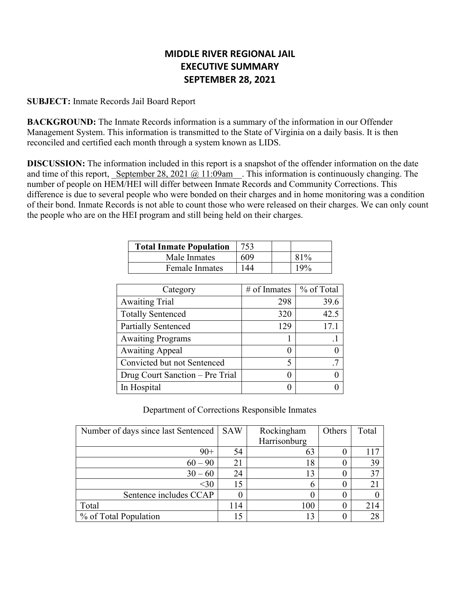### **MIDDLE RIVER REGIONAL JAIL EXECUTIVE SUMMARY SEPTEMBER 28, 2021**

### **SUBJECT:** Inmate Records Jail Board Report

**BACKGROUND:** The Inmate Records information is a summary of the information in our Offender Management System. This information is transmitted to the State of Virginia on a daily basis. It is then reconciled and certified each month through a system known as LIDS.

**DISCUSSION:** The information included in this report is a snapshot of the offender information on the date and time of this report, September 28, 2021 @ 11:09am . This information is continuously changing. The number of people on HEM/HEI will differ between Inmate Records and Community Corrections. This difference is due to several people who were bonded on their charges and in home monitoring was a condition of their bond. Inmate Records is not able to count those who were released on their charges. We can only count the people who are on the HEI program and still being held on their charges.

| <b>Total Inmate Population</b> | 753          |       |
|--------------------------------|--------------|-------|
| Male Inmates                   | 609          | 81%   |
| Female Inmates                 | $^{\circ}44$ | 1 OOZ |

| Category                        | # of Inmates | % of Total |
|---------------------------------|--------------|------------|
| <b>Awaiting Trial</b>           | 298          | 39.6       |
| <b>Totally Sentenced</b>        | 320          | 42.5       |
| <b>Partially Sentenced</b>      | 129          | 17.1       |
| <b>Awaiting Programs</b>        |              | $\cdot$    |
| <b>Awaiting Appeal</b>          | 0            |            |
| Convicted but not Sentenced     | 5            | .7         |
| Drug Court Sanction – Pre Trial |              |            |
| In Hospital                     |              |            |

Department of Corrections Responsible Inmates

| Number of days since last Sentenced | <b>SAW</b> | Rockingham   | Others | Total |
|-------------------------------------|------------|--------------|--------|-------|
|                                     |            | Harrisonburg |        |       |
| $90+$                               | 54         | 63           |        | 117   |
| $60 - 90$                           | 21         | 18           |        | 39    |
| $30 - 60$                           | 24         | 13           |        | 37    |
| $30$                                | 15         | h            |        |       |
| Sentence includes CCAP              |            |              |        |       |
| Total                               | 114        | 100          |        | 214   |
| % of Total Population               | 15         |              |        |       |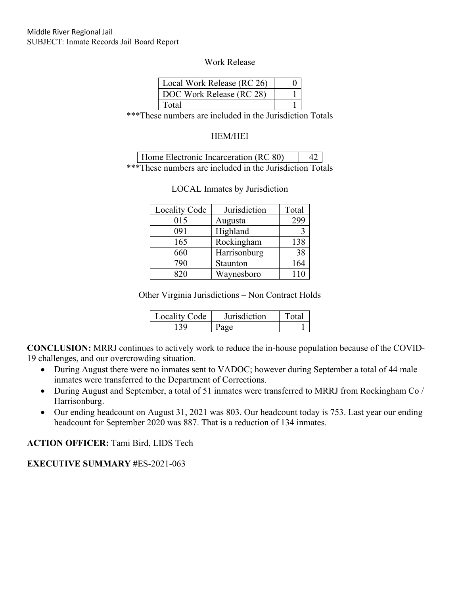Work Release

| Local Work Release (RC 26) |  |
|----------------------------|--|
| DOC Work Release (RC 28)   |  |
| Total                      |  |

\*\*\*These numbers are included in the Jurisdiction Totals

### HEM/HEI

|       | Home Electronic Incarceration (RC 80) |  |  |  |  |  |  |
|-------|---------------------------------------|--|--|--|--|--|--|
| ቃ ቀጠ1 |                                       |  |  |  |  |  |  |

\*\*\*These numbers are included in the Jurisdiction Totals

| <b>Locality Code</b> | Jurisdiction | Total |
|----------------------|--------------|-------|
| 015                  | Augusta      | 299   |
| 091                  | Highland     |       |
| 165                  | Rockingham   | 138   |
| 660                  | Harrisonburg | 38    |
| 790                  | Staunton     | 164   |
| 820                  | Waynesboro   | 110   |

### LOCAL Inmates by Jurisdiction

Other Virginia Jurisdictions – Non Contract Holds

| Locality Code | <b>Iurisdiction</b> | `otal |
|---------------|---------------------|-------|
|               |                     |       |

**CONCLUSION:** MRRJ continues to actively work to reduce the in-house population because of the COVID-19 challenges, and our overcrowding situation.

- During August there were no inmates sent to VADOC; however during September a total of 44 male inmates were transferred to the Department of Corrections.
- During August and September, a total of 51 inmates were transferred to MRRJ from Rockingham Co / Harrisonburg.
- Our ending headcount on August 31, 2021 was 803. Our headcount today is 753. Last year our ending headcount for September 2020 was 887. That is a reduction of 134 inmates.

**ACTION OFFICER:** Tami Bird, LIDS Tech

**EXECUTIVE SUMMARY #**ES-2021-063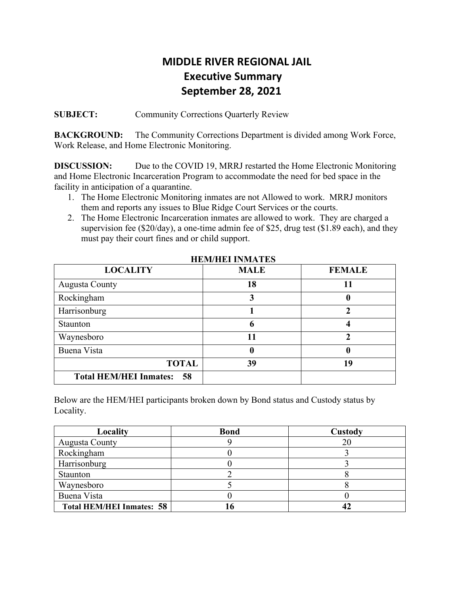## **MIDDLE RIVER REGIONAL JAIL Executive Summary September 28, 2021**

**SUBJECT:** Community Corrections Quarterly Review

**BACKGROUND:** The Community Corrections Department is divided among Work Force, Work Release, and Home Electronic Monitoring.

**DISCUSSION:** Due to the COVID 19, MRRJ restarted the Home Electronic Monitoring and Home Electronic Incarceration Program to accommodate the need for bed space in the facility in anticipation of a quarantine.

- 1. The Home Electronic Monitoring inmates are not Allowed to work. MRRJ monitors them and reports any issues to Blue Ridge Court Services or the courts.
- 2. The Home Electronic Incarceration inmates are allowed to work. They are charged a supervision fee (\$20/day), a one-time admin fee of \$25, drug test (\$1.89 each), and they must pay their court fines and or child support.

| <b>LOCALITY</b>                  | <b>MALE</b> | <b>FEMALE</b> |
|----------------------------------|-------------|---------------|
| <b>Augusta County</b>            | 18          | 11            |
| Rockingham                       | 3           | U             |
| Harrisonburg                     |             |               |
| Staunton                         | 6           |               |
| Waynesboro                       | 11          |               |
| Buena Vista                      |             | 0             |
| <b>TOTAL</b>                     | 39          | 19            |
| <b>Total HEM/HEI Inmates: 58</b> |             |               |

 **HEM/HEI INMATES**

Below are the HEM/HEI participants broken down by Bond status and Custody status by Locality.

| Locality                         | <b>Bond</b> | Custody |
|----------------------------------|-------------|---------|
| <b>Augusta County</b>            |             | 20      |
| Rockingham                       |             |         |
| Harrisonburg                     |             |         |
| Staunton                         |             |         |
| Waynesboro                       |             |         |
| Buena Vista                      |             |         |
| <b>Total HEM/HEI Inmates: 58</b> |             |         |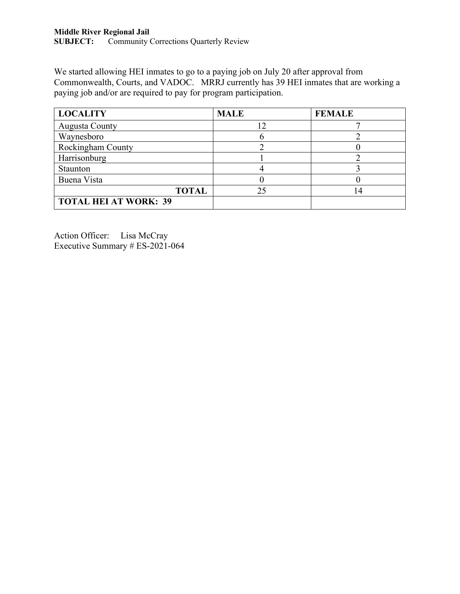We started allowing HEI inmates to go to a paying job on July 20 after approval from Commonwealth, Courts, and VADOC. MRRJ currently has 39 HEI inmates that are working a paying job and/or are required to pay for program participation.

| <b>LOCALITY</b>              | <b>MALE</b> | <b>FEMALE</b> |
|------------------------------|-------------|---------------|
| <b>Augusta County</b>        |             |               |
| Waynesboro                   |             |               |
| <b>Rockingham County</b>     |             |               |
| Harrisonburg                 |             |               |
| Staunton                     |             |               |
| Buena Vista                  |             |               |
| <b>TOTAL</b>                 | 25          |               |
| <b>TOTAL HEI AT WORK: 39</b> |             |               |

Action Officer: Lisa McCray Executive Summary # ES-2021-064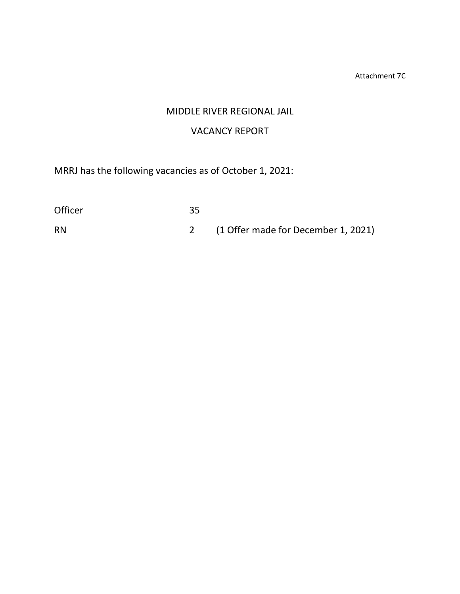Attachment 7C

### MIDDLE RIVER REGIONAL JAIL

### VACANCY REPORT

MRRJ has the following vacancies as of October 1, 2021:

| 35 |
|----|
|    |

RN 2 (1 Offer made for December 1, 2021)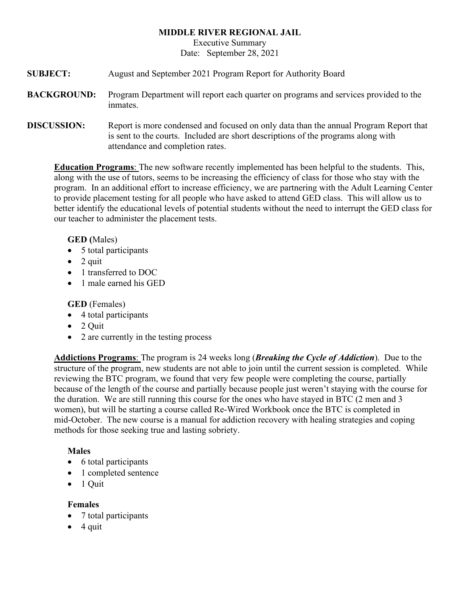### **MIDDLE RIVER REGIONAL JAIL**

Executive Summary Date: September 28, 2021

- **SUBJECT:** August and September 2021 Program Report for Authority Board
- **BACKGROUND:** Program Department will report each quarter on programs and services provided to the inmates.
- **DISCUSSION:** Report is more condensed and focused on only data than the annual Program Report that is sent to the courts. Included are short descriptions of the programs along with attendance and completion rates.

**Education Programs**: The new software recently implemented has been helpful to the students. This, along with the use of tutors, seems to be increasing the efficiency of class for those who stay with the program. In an additional effort to increase efficiency, we are partnering with the Adult Learning Center to provide placement testing for all people who have asked to attend GED class. This will allow us to better identify the educational levels of potential students without the need to interrupt the GED class for our teacher to administer the placement tests.

### **GED (**Males)

- 5 total participants
- $\bullet$  2 quit
- 1 transferred to DOC
- 1 male earned his GED

### **GED** (Females)

- 4 total participants
- $\bullet$  2 Quit
- 2 are currently in the testing process

**Addictions Programs**: The program is 24 weeks long (*Breaking the Cycle of Addiction*). Due to the structure of the program, new students are not able to join until the current session is completed. While reviewing the BTC program, we found that very few people were completing the course, partially because of the length of the course and partially because people just weren't staying with the course for the duration. We are still running this course for the ones who have stayed in BTC (2 men and 3 women), but will be starting a course called Re-Wired Workbook once the BTC is completed in mid-October. The new course is a manual for addiction recovery with healing strategies and coping methods for those seeking true and lasting sobriety.

### **Males**

- 6 total participants
- 1 completed sentence
- 1 Quit

### **Females**

- 7 total participants
- $\bullet$  4 quit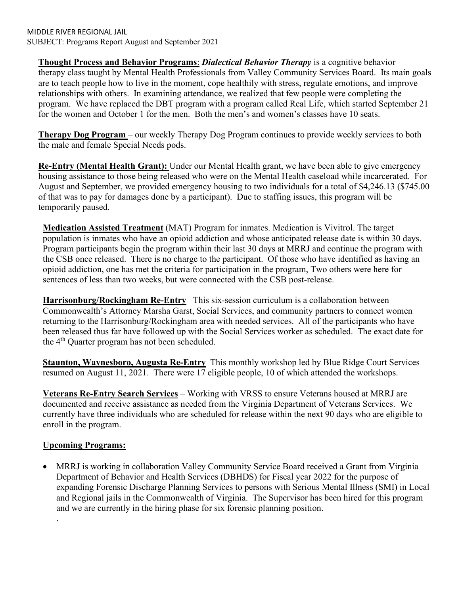**Thought Process and Behavior Programs**: *Dialectical Behavior Therapy* is a cognitive behavior therapy class taught by Mental Health Professionals from Valley Community Services Board. Its main goals are to teach people how to live in the moment, cope healthily with stress, regulate emotions, and improve relationships with others. In examining attendance, we realized that few people were completing the program. We have replaced the DBT program with a program called Real Life, which started September 21 for the women and October 1 for the men. Both the men's and women's classes have 10 seats.

**Therapy Dog Program** – our weekly Therapy Dog Program continues to provide weekly services to both the male and female Special Needs pods.

**Re-Entry (Mental Health Grant):** Under our Mental Health grant, we have been able to give emergency housing assistance to those being released who were on the Mental Health caseload while incarcerated. For August and September, we provided emergency housing to two individuals for a total of \$4,246.13 (\$745.00 of that was to pay for damages done by a participant). Due to staffing issues, this program will be temporarily paused.

**Medication Assisted Treatment** (MAT) Program for inmates. Medication is Vivitrol. The target population is inmates who have an opioid addiction and whose anticipated release date is within 30 days. Program participants begin the program within their last 30 days at MRRJ and continue the program with the CSB once released. There is no charge to the participant. Of those who have identified as having an opioid addiction, one has met the criteria for participation in the program, Two others were here for sentences of less than two weeks, but were connected with the CSB post-release.

**Harrisonburg/Rockingham Re-Entry** This six-session curriculum is a collaboration between Commonwealth's Attorney Marsha Garst, Social Services, and community partners to connect women returning to the Harrisonburg/Rockingham area with needed services. All of the participants who have been released thus far have followed up with the Social Services worker as scheduled. The exact date for the 4<sup>th</sup> Quarter program has not been scheduled.

**Staunton, Waynesboro, Augusta Re-Entry** This monthly workshop led by Blue Ridge Court Services resumed on August 11, 2021. There were 17 eligible people, 10 of which attended the workshops.

**Veterans Re-Entry Search Services** – Working with VRSS to ensure Veterans housed at MRRJ are documented and receive assistance as needed from the Virginia Department of Veterans Services. We currently have three individuals who are scheduled for release within the next 90 days who are eligible to enroll in the program.

### **Upcoming Programs:**

.

• MRRJ is working in collaboration Valley Community Service Board received a Grant from Virginia Department of Behavior and Health Services (DBHDS) for Fiscal year 2022 for the purpose of expanding Forensic Discharge Planning Services to persons with Serious Mental Illness (SMI) in Local and Regional jails in the Commonwealth of Virginia. The Supervisor has been hired for this program and we are currently in the hiring phase for six forensic planning position.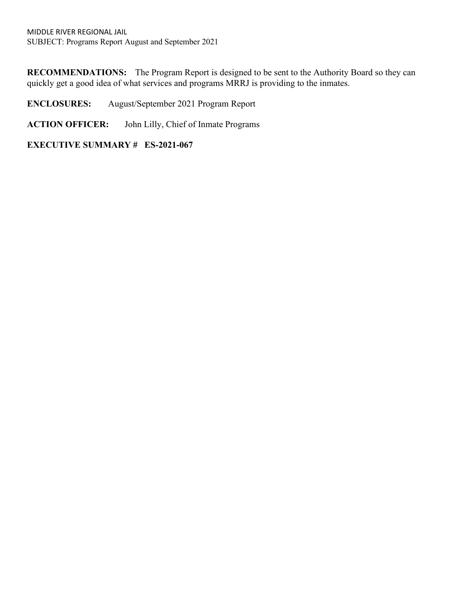**RECOMMENDATIONS:** The Program Report is designed to be sent to the Authority Board so they can quickly get a good idea of what services and programs MRRJ is providing to the inmates.

**ENCLOSURES:** August/September 2021 Program Report

**ACTION OFFICER:** John Lilly, Chief of Inmate Programs

**EXECUTIVE SUMMARY # ES-2021-067**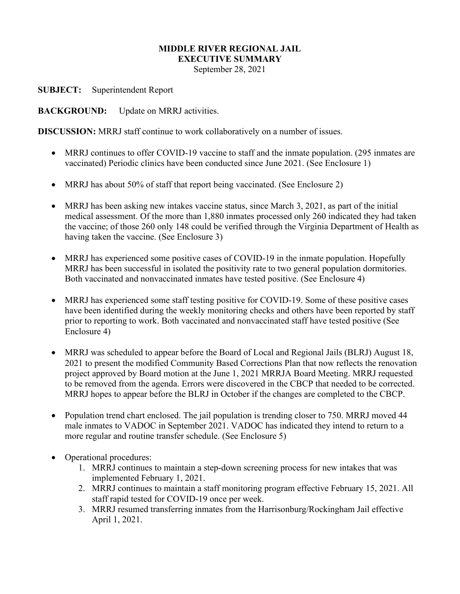### **MIDDLE RIVER REGIONAL JAIL EXECUTIVE SUMMARY**

September 28, 2021

**SUBJECT:** Superintendent Report

**BACKGROUND:** Update on MRRJ activities.

**DISCUSSION:** MRRJ staff continue to work collaboratively on a number of issues.

- MRRJ continues to offer COVID-19 vaccine to staff and the inmate population. (295 inmates are vaccinated) Periodic clinics have been conducted since June 2021. (See Enclosure 1)
- MRRJ has about 50% of staff that report being vaccinated. (See Enclosure 2)
- MRRJ has been asking new intakes vaccine status, since March 3, 2021, as part of the initial medical assessment. Of the more than 1,880 inmates processed only 260 indicated they had taken the vaccine; of those 260 only 148 could be verified through the Virginia Department of Health as having taken the vaccine. (See Enclosure 3)
- MRRJ has experienced some positive cases of COVID-19 in the inmate population. Hopefully MRRJ has been successful in isolated the positivity rate to two general population dormitories. Both vaccinated and nonvaccinated inmates have tested positive. (See Enclosure 4)
- MRRJ has experienced some staff testing positive for COVID-19. Some of these positive cases have been identified during the weekly monitoring checks and others have been reported by staff prior to reporting to work. Both vaccinated and nonvaccinated staff have tested positive (See Enclosure 4)
- MRRJ was scheduled to appear before the Board of Local and Regional Jails (BLRJ) August 18, 2021 to present the modified Community Based Corrections Plan that now reflects the renovation project approved by Board motion at the June 1, 2021 MRRJA Board Meeting. MRRJ requested to be removed from the agenda. Errors were discovered in the CBCP that needed to be corrected. MRRJ hopes to appear before the BLRJ in October if the changes are completed to the CBCP.
- Population trend chart enclosed. The jail population is trending closer to 750. MRRJ moved 44 male inmates to VADOC in September 2021. VADOC has indicated they intend to return to a more regular and routine transfer schedule. (See Enclosure 5)
- Operational procedures:
	- 1. MRRJ continues to maintain a step-down screening process for new intakes that was implemented February 1, 2021.
	- 2. MRRJ continues to maintain a staff monitoring program effective February 15, 2021. All staff rapid tested for COVID-19 once per week.
	- 3. MRRJ resumed transferring inmates from the Harrisonburg/Rockingham Jail effective April 1, 2021.